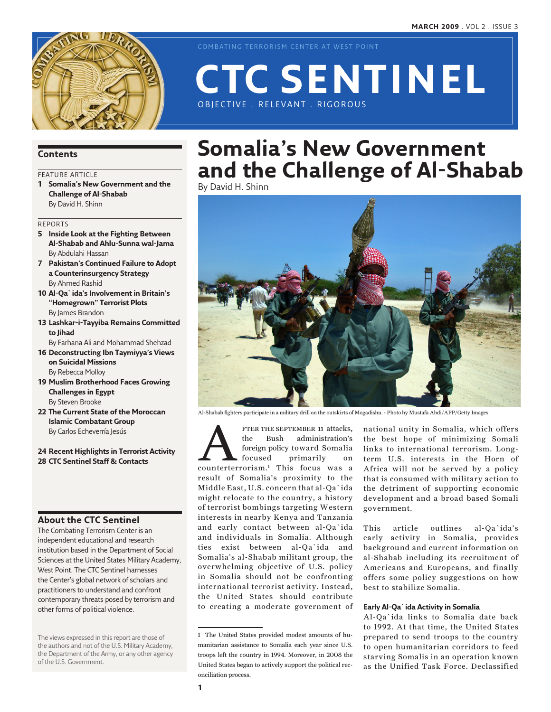

COMBATING TERRORISM CENTER AT WEST POINT

# OBJECTIVE . RELEVANT . RIGOROUS **CTC Sentinel**

### **Contents**

### FEATURE ARTICLE

**1 Somalia's New Government and the Challenge of Al-Shabab** By David H. Shinn

### Reports

- **5 Inside Look at the Fighting Between Al-Shabab and Ahlu-Sunna wal-Jama** By Abdulahi Hassan
- **7 Pakistan's Continued Failure to Adopt a Counterinsurgency Strategy** By Ahmed Rashid
- **10 Al-Qa`ida's Involvement in Britain's "Homegrown" Terrorist Plots** By James Brandon
- **13 Lashkar-i-Tayyiba Remains Committed to Jihad**
- By Farhana Ali and Mohammad Shehzad
- **16 Deconstructing Ibn Taymiyya's Views on Suicidal Missions** By Rebecca Molloy
- **19 Muslim Brotherhood Faces Growing Challenges in Egypt** By Steven Brooke
- **22 The Current State of the Moroccan Islamic Combatant Group** By Carlos Echeverría Jesús
- **24 Recent Highlights in Terrorist Activity 28 CTC Sentinel Staff & Contacts**

### **About the CTC Sentinel**

The Combating Terrorism Center is an independent educational and research institution based in the Department of Social Sciences at the United States Military Academy, West Point. The CTC Sentinel harnesses the Center's global network of scholars and practitioners to understand and confront contemporary threats posed by terrorism and other forms of political violence.

The views expressed in this report are those of the authors and not of the U.S. Military Academy, the Department of the Army, or any other agency of the U.S. Government.

# **Somalia's New Government and the Challenge of Al-Shabab**

By David H. Shinn



Al-Shabab fighters participate in a military drill on the outskirts of Mogadishu. - Photo by Mustafa Abdi/AFP/Getty Images

FTER THE SEPTEMBER 11 attacks,<br>
the Bush administration's<br>
foreign policy toward Somalia<br>
focused primarily on<br>
counterterrorism.<sup>1</sup> This focus was a the Bush administration's foreign policy toward Somalia focused primarily on result of Somalia's proximity to the Middle East, U.S. concern that al-Qa`ida might relocate to the country, a history of terrorist bombings targeting Western interests in nearby Kenya and Tanzania and early contact between al-Qa`ida and individuals in Somalia. Although ties exist between al-Qa`ida and Somalia's al-Shabab militant group, the overwhelming objective of U.S. policy in Somalia should not be confronting international terrorist activity. Instead, the United States should contribute to creating a moderate government of

national unity in Somalia, which offers the best hope of minimizing Somali links to international terrorism. Longterm U.S. interests in the Horn of Africa will not be served by a policy that is consumed with military action to the detriment of supporting economic development and a broad based Somali government.

This article outlines al-Qa`ida's early activity in Somalia, provides background and current information on al-Shabab including its recruitment of Americans and Europeans, and finally offers some policy suggestions on how best to stabilize Somalia.

### **Early Al-Qa`ida Activity in Somalia**

Al-Qa`ida links to Somalia date back to 1992. At that time, the United States prepared to send troops to the country to open humanitarian corridors to feed starving Somalis in an operation known as the Unified Task Force. Declassified

<sup>1</sup> The United States provided modest amounts of humanitarian assistance to Somalia each year since U.S. troops left the country in 1994. Moreover, in 2008 the United States began to actively support the political reconciliation process.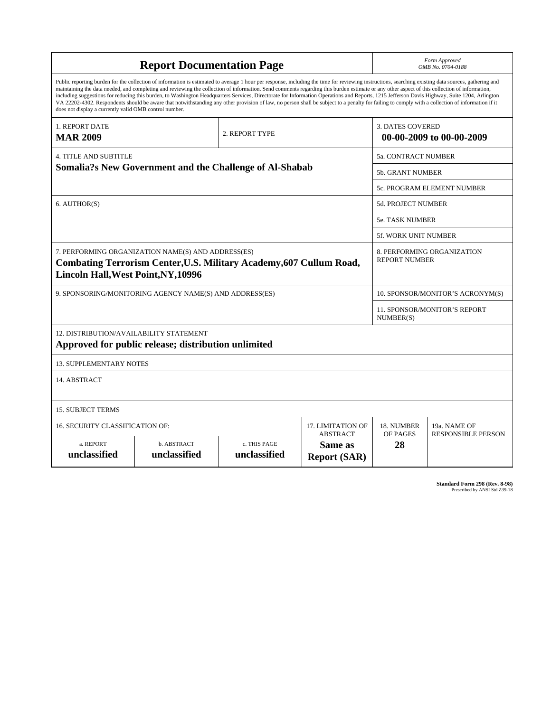| <b>Report Documentation Page</b>                                                                                                                                                                                                                                                                                                                                                                                                                                                                                                                                                                                                                                                                                                                                                                                                                                   |                             |                              |                                                   | Form Approved<br>OMB No. 0704-0188                  |                           |
|--------------------------------------------------------------------------------------------------------------------------------------------------------------------------------------------------------------------------------------------------------------------------------------------------------------------------------------------------------------------------------------------------------------------------------------------------------------------------------------------------------------------------------------------------------------------------------------------------------------------------------------------------------------------------------------------------------------------------------------------------------------------------------------------------------------------------------------------------------------------|-----------------------------|------------------------------|---------------------------------------------------|-----------------------------------------------------|---------------------------|
| Public reporting burden for the collection of information is estimated to average 1 hour per response, including the time for reviewing instructions, searching existing data sources, gathering and<br>maintaining the data needed, and completing and reviewing the collection of information. Send comments regarding this burden estimate or any other aspect of this collection of information,<br>including suggestions for reducing this burden, to Washington Headquarters Services, Directorate for Information Operations and Reports, 1215 Jefferson Davis Highway, Suite 1204, Arlington<br>VA 22202-4302. Respondents should be aware that notwithstanding any other provision of law, no person shall be subject to a penalty for failing to comply with a collection of information if it<br>does not display a currently valid OMB control number. |                             |                              |                                                   |                                                     |                           |
| 1. REPORT DATE<br><b>MAR 2009</b>                                                                                                                                                                                                                                                                                                                                                                                                                                                                                                                                                                                                                                                                                                                                                                                                                                  |                             | 2. REPORT TYPE               |                                                   | <b>3. DATES COVERED</b><br>00-00-2009 to 00-00-2009 |                           |
| 4. TITLE AND SUBTITLE                                                                                                                                                                                                                                                                                                                                                                                                                                                                                                                                                                                                                                                                                                                                                                                                                                              |                             |                              |                                                   | <b>5a. CONTRACT NUMBER</b>                          |                           |
| <b>Somalia?s New Government and the Challenge of Al-Shabab</b>                                                                                                                                                                                                                                                                                                                                                                                                                                                                                                                                                                                                                                                                                                                                                                                                     |                             |                              |                                                   | 5b. GRANT NUMBER                                    |                           |
|                                                                                                                                                                                                                                                                                                                                                                                                                                                                                                                                                                                                                                                                                                                                                                                                                                                                    |                             |                              |                                                   | 5c. PROGRAM ELEMENT NUMBER                          |                           |
| 6. AUTHOR(S)                                                                                                                                                                                                                                                                                                                                                                                                                                                                                                                                                                                                                                                                                                                                                                                                                                                       |                             |                              |                                                   | 5d. PROJECT NUMBER                                  |                           |
|                                                                                                                                                                                                                                                                                                                                                                                                                                                                                                                                                                                                                                                                                                                                                                                                                                                                    |                             |                              |                                                   | <b>5e. TASK NUMBER</b>                              |                           |
|                                                                                                                                                                                                                                                                                                                                                                                                                                                                                                                                                                                                                                                                                                                                                                                                                                                                    |                             |                              |                                                   | 5f. WORK UNIT NUMBER                                |                           |
| 7. PERFORMING ORGANIZATION NAME(S) AND ADDRESS(ES)<br>Combating Terrorism Center, U.S. Military Academy, 607 Cullum Road,<br><b>Lincoln Hall, West Point, NY, 10996</b>                                                                                                                                                                                                                                                                                                                                                                                                                                                                                                                                                                                                                                                                                            |                             |                              |                                                   | 8. PERFORMING ORGANIZATION<br><b>REPORT NUMBER</b>  |                           |
| 9. SPONSORING/MONITORING AGENCY NAME(S) AND ADDRESS(ES)                                                                                                                                                                                                                                                                                                                                                                                                                                                                                                                                                                                                                                                                                                                                                                                                            |                             |                              |                                                   | 10. SPONSOR/MONITOR'S ACRONYM(S)                    |                           |
|                                                                                                                                                                                                                                                                                                                                                                                                                                                                                                                                                                                                                                                                                                                                                                                                                                                                    |                             |                              |                                                   | 11. SPONSOR/MONITOR'S REPORT<br>NUMBER(S)           |                           |
| 12. DISTRIBUTION/AVAILABILITY STATEMENT<br>Approved for public release; distribution unlimited                                                                                                                                                                                                                                                                                                                                                                                                                                                                                                                                                                                                                                                                                                                                                                     |                             |                              |                                                   |                                                     |                           |
| <b>13. SUPPLEMENTARY NOTES</b>                                                                                                                                                                                                                                                                                                                                                                                                                                                                                                                                                                                                                                                                                                                                                                                                                                     |                             |                              |                                                   |                                                     |                           |
| 14. ABSTRACT                                                                                                                                                                                                                                                                                                                                                                                                                                                                                                                                                                                                                                                                                                                                                                                                                                                       |                             |                              |                                                   |                                                     |                           |
| <b>15. SUBJECT TERMS</b>                                                                                                                                                                                                                                                                                                                                                                                                                                                                                                                                                                                                                                                                                                                                                                                                                                           |                             |                              |                                                   |                                                     |                           |
| 16. SECURITY CLASSIFICATION OF:                                                                                                                                                                                                                                                                                                                                                                                                                                                                                                                                                                                                                                                                                                                                                                                                                                    | 17. LIMITATION OF           | 18. NUMBER                   | 19a. NAME OF                                      |                                                     |                           |
| a. REPORT<br>unclassified                                                                                                                                                                                                                                                                                                                                                                                                                                                                                                                                                                                                                                                                                                                                                                                                                                          | b. ABSTRACT<br>unclassified | c. THIS PAGE<br>unclassified | <b>ABSTRACT</b><br>Same as<br><b>Report (SAR)</b> | OF PAGES<br>28                                      | <b>RESPONSIBLE PERSON</b> |

**Standard Form 298 (Rev. 8-98)**<br>Prescribed by ANSI Std Z39-18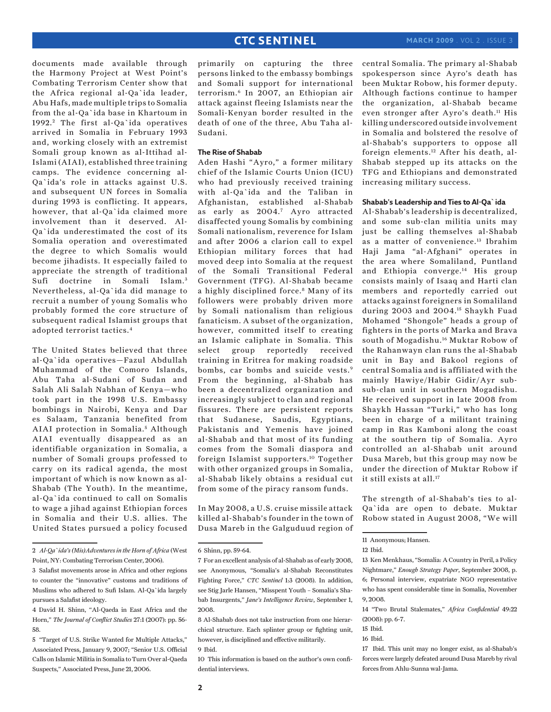documents made available through the Harmony Project at West Point's Combating Terrorism Center show that the Africa regional al-Qa`ida leader, Abu Hafs, made multiple trips to Somalia from the al-Qa`ida base in Khartoum in 1992. 2 The first al-Qa`ida operatives arrived in Somalia in February 1993 and, working closely with an extremist Somali group known as al-Ittihad al-Islami (AIAI), established three training camps. The evidence concerning al-Qa`ida's role in attacks against U.S. and subsequent UN forces in Somalia during 1993 is conflicting. It appears, however, that al-Qa`ida claimed more involvement than it deserved. Al-Qa`ida underestimated the cost of its Somalia operation and overestimated the degree to which Somalis would become jihadists. It especially failed to appreciate the strength of traditional Sufi doctrine in Somali Islam.<sup>3</sup> Nevertheless, al-Qa`ida did manage to recruit a number of young Somalis who probably formed the core structure of subsequent radical Islamist groups that adopted terrorist tactics.4

The United States believed that three al-Qa`ida operatives—Fazul Abdullah Muhammad of the Comoro Islands, Abu Taha al-Sudani of Sudan and Salah Ali Salah Nabhan of Kenya—who took part in the 1998 U.S. Embassy bombings in Nairobi, Kenya and Dar es Salaam, Tanzania benefited from AIAI protection in Somalia.<sup>5</sup> Although AIAI eventually disappeared as an identifiable organization in Somalia, a number of Somali groups professed to carry on its radical agenda, the most important of which is now known as al-Shabab (The Youth). In the meantime, al-Qa`ida continued to call on Somalis to wage a jihad against Ethiopian forces in Somalia and their U.S. allies. The United States pursued a policy focused

2 *Al-Qa`ida's (Mis)Adventures in the Horn of Africa* (West Point, NY: Combating Terrorism Center, 2006).

primarily on capturing the three persons linked to the embassy bombings and Somali support for international terrorism.6 In 2007, an Ethiopian air attack against fleeing Islamists near the Somali-Kenyan border resulted in the death of one of the three, Abu Taha al-Sudani.

### **The Rise of Shabab**

Aden Hashi "Ayro," a former military chief of the Islamic Courts Union (ICU) who had previously received training with al-Qa`ida and the Taliban in Afghanistan, established al-Shabab as early as 2004.7 Ayro attracted disaffected young Somalis by combining Somali nationalism, reverence for Islam and after 2006 a clarion call to expel Ethiopian military forces that had moved deep into Somalia at the request of the Somali Transitional Federal Government (TFG). Al-Shabab became a highly disciplined force.<sup>8</sup> Many of its followers were probably driven more by Somali nationalism than religious fanaticism. A subset of the organization, however, committed itself to creating an Islamic caliphate in Somalia. This select group reportedly received training in Eritrea for making roadside bombs, car bombs and suicide vests.<sup>9</sup> From the beginning, al-Shabab has been a decentralized organization and increasingly subject to clan and regional fissures. There are persistent reports that Sudanese, Saudis, Egyptians, Pakistanis and Yemenis have joined al-Shabab and that most of its funding comes from the Somali diaspora and foreign Islamist supporters.10 Together with other organized groups in Somalia, al-Shabab likely obtains a residual cut from some of the piracy ransom funds.

In May 2008, a U.S. cruise missile attack killed al-Shabab's founder in the town of Dusa Mareb in the Galguduud region of central Somalia. The primary al-Shabab spokesperson since Ayro's death has been Muktar Robow, his former deputy. Although factions continue to hamper the organization, al-Shabab became even stronger after Ayro's death.<sup>11</sup> His killing underscored outside involvement in Somalia and bolstered the resolve of al-Shabab's supporters to oppose all foreign elements.12 After his death, al-Shabab stepped up its attacks on the TFG and Ethiopians and demonstrated increasing military success.

### **Shabab's Leadership and Ties to Al-Qa`ida**

Al-Shabab's leadership is decentralized, and some sub-clan militia units may just be calling themselves al-Shabab as a matter of convenience.13 Ibrahim Haji Jama "al-Afghani" operates in the area where Somaliland, Puntland and Ethiopia converge.14 His group consists mainly of Isaaq and Harti clan members and reportedly carried out attacks against foreigners in Somaliland during 2003 and 2004.15 Shaykh Fuad Mohamed "Shongole" heads a group of fighters in the ports of Marka and Brava south of Mogadishu.16 Muktar Robow of the Rahanwayn clan runs the al-Shabab unit in Bay and Bakool regions of central Somalia and is affiliated with the mainly Hawiye/Habir Gidir/Ayr subsub-clan unit in southern Mogadishu. He received support in late 2008 from Shaykh Hassan "Turki," who has long been in charge of a militant training camp in Ras Kamboni along the coast at the southern tip of Somalia. Ayro controlled an al-Shabab unit around Dusa Mareb, but this group may now be under the direction of Muktar Robow if it still exists at all.<sup>17</sup>

The strength of al-Shabab's ties to al-Qa`ida are open to debate. Muktar Robow stated in August 2008, "We will

13 Ken Menkhaus, "Somalia: A Country in Peril, a Policy Nightmare," *Enough Strategy Paper*, September 2008, p. 6; Personal interview, expatriate NGO representative who has spent considerable time in Somalia, November 9, 2008.

<sup>3</sup> Salafist movements arose in Africa and other regions to counter the "innovative" customs and traditions of Muslims who adhered to Sufi Islam. Al-Qa`ida largely pursues a Salafist ideology.

<sup>4</sup> David H. Shinn, "Al-Qaeda in East Africa and the Horn," *The Journal of Conflict Studies* 27:1 (2007): pp. 56- 58.

<sup>5 &</sup>quot;Target of U.S. Strike Wanted for Multiple Attacks," Associated Press, January 9, 2007; "Senior U.S. Official Calls on Islamic Militia in Somalia to Turn Over al-Qaeda Suspects," Associated Press, June 21, 2006.

<sup>6</sup> Shinn, pp. 59-64.

<sup>7</sup> For an excellent analysis of al-Shabab as of early 2008, see Anonymous, "Somalia's al-Shabab Reconstitutes Fighting Force," *CTC Sentinel* 1:3 (2008). In addition, see Stig Jarle Hansen, "Misspent Youth – Somalia's Shabab Insurgents," *Jane's Intelligence Review*, September 1, 2008.

<sup>8</sup> Al-Shabab does not take instruction from one hierarchical structure. Each splinter group or fighting unit, however, is disciplined and effective militarily. 9 Ibid.

<sup>10</sup> This information is based on the author's own confidential interviews.

<sup>11</sup> Anonymous; Hansen.

<sup>12</sup> Ibid.

<sup>14 &</sup>quot;Two Brutal Stalemates," *Africa Confidential* 49:22 (2008): pp. 6-7.

<sup>15</sup> Ibid.

<sup>16</sup> Ibid.

<sup>17</sup> Ibid. This unit may no longer exist, as al-Shabab's forces were largely defeated around Dusa Mareb by rival forces from Ahlu-Sunna wal-Jama.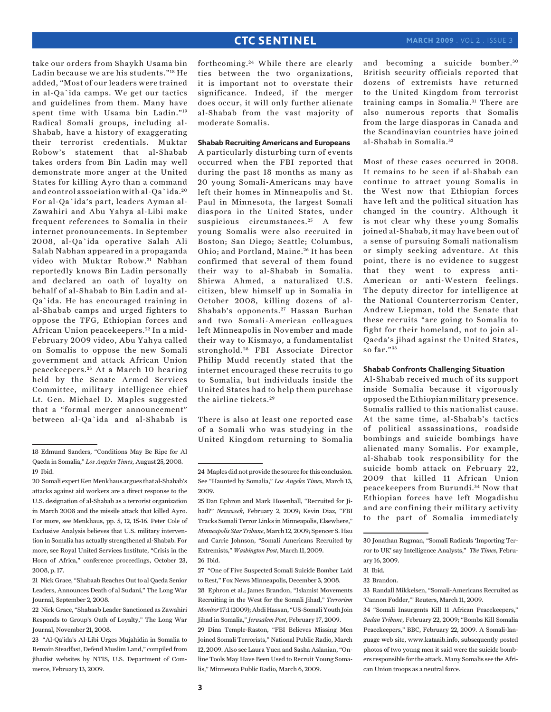take our orders from Shaykh Usama bin Ladin because we are his students."18 He added, "Most of our leaders were trained in al-Qa`ida camps. We get our tactics and guidelines from them. Many have spent time with Usama bin Ladin."19 Radical Somali groups, including al-Shabab, have a history of exaggerating their terrorist credentials. Muktar Robow's statement that al-Shabab takes orders from Bin Ladin may well demonstrate more anger at the United States for killing Ayro than a command and control association with al-Qa`ida. <sup>20</sup> For al-Qa`ida's part, leaders Ayman al-Zawahiri and Abu Yahya al-Libi make frequent references to Somalia in their internet pronouncements. In September 2008, al-Qa`ida operative Salah Ali Salah Nabhan appeared in a propaganda video with Muktar Robow.<sup>21</sup> Nabhan reportedly knows Bin Ladin personally and declared an oath of loyalty on behalf of al-Shabab to Bin Ladin and al-Qa`ida. He has encouraged training in al-Shabab camps and urged fighters to oppose the TFG, Ethiopian forces and African Union peacekeepers. 22 In a mid-February 2009 video, Abu Yahya called on Somalis to oppose the new Somali government and attack African Union peacekeepers. 23 At a March 10 hearing held by the Senate Armed Services Committee, military intelligence chief Lt. Gen. Michael D. Maples suggested that a "formal merger announcement" between al-Qa`ida and al-Shabab is

21 Nick Grace, "Shabaab Reaches Out to al Qaeda Senior Leaders, Announces Death of al Sudani," The Long War Journal, September 2, 2008.

22 Nick Grace, "Shabaab Leader Sanctioned as Zawahiri Responds to Group's Oath of Loyalty," The Long War Journal, November 21, 2008.

23 "Al-Qa'ida's Al-Libi Urges Mujahidin in Somalia to Remain Steadfast, Defend Muslim Land," compiled from jihadist websites by NTIS, U.S. Department of Commerce, February 13, 2009.

forthcoming. 24 While there are clearly ties between the two organizations, it is important not to overstate their significance. Indeed, if the merger does occur, it will only further alienate al-Shabab from the vast majority of moderate Somalis.

### **Shabab Recruiting Americans and Europeans**

A particularly disturbing turn of events occurred when the FBI reported that during the past 18 months as many as 20 young Somali-Americans may have left their homes in Minneapolis and St. Paul in Minnesota, the largest Somali diaspora in the United States, under suspicious circumstances.<sup>25</sup> A few young Somalis were also recruited in Boston; San Diego; Seattle; Columbus, Ohio; and Portland, Maine.<sup>26</sup> It has been confirmed that several of them found their way to al-Shabab in Somalia. Shirwa Ahmed, a naturalized U.S. citizen, blew himself up in Somalia in October 2008, killing dozens of al-Shabab's opponents.<sup>27</sup> Hassan Burhan and two Somali-American colleagues left Minneapolis in November and made their way to Kismayo, a fundamentalist stronghold. 28 FBI Associate Director Philip Mudd recently stated that the internet encouraged these recruits to go to Somalia, but individuals inside the United States had to help them purchase the airline tickets. <sup>29</sup>

There is also at least one reported case of a Somali who was studying in the United Kingdom returning to Somalia

27 "One of Five Suspected Somali Suicide Bomber Laid to Rest," Fox News Minneapolis, December 3, 2008.

29 Dina Temple-Raston, "FBI Believes Missing Men Joined Somali Terrorists," National Public Radio, March 12, 2009. Also see Laura Yuen and Sasha Aslanian, "Online Tools May Have Been Used to Recruit Young Somalis," Minnesota Public Radio, March 6, 2009.

and becoming a suicide bomber.<sup>30</sup> British security officials reported that dozens of extremists have returned to the United Kingdom from terrorist training camps in Somalia. 31 There are also numerous reports that Somalis from the large diasporas in Canada and the Scandinavian countries have joined al-Shabab in Somalia. 32

Most of these cases occurred in 2008. It remains to be seen if al-Shabab can continue to attract young Somalis in the West now that Ethiopian forces have left and the political situation has changed in the country. Although it is not clear why these young Somalis joined al-Shabab, it may have been out of a sense of pursuing Somali nationalism or simply seeking adventure. At this point, there is no evidence to suggest that they went to express anti-American or anti-Western feelings. The deputy director for intelligence at the National Counterterrorism Center, Andrew Liepman, told the Senate that these recruits "are going to Somalia to fight for their homeland, not to join al-Qaeda's jihad against the United States, so far."33

#### **Shabab Confronts Challenging Situation**

Al-Shabab received much of its support inside Somalia because it vigorously opposed the Ethiopian military presence. Somalis rallied to this nationalist cause. At the same time, al-Shabab's tactics of political assassinations, roadside bombings and suicide bombings have alienated many Somalis. For example, al-Shabab took responsibility for the suicide bomb attack on February 22, 2009 that killed 11 African Union peacekeepers from Burundi. 34 Now that Ethiopian forces have left Mogadishu and are confining their military activity to the part of Somalia immediately

<sup>18</sup> Edmund Sanders, "Conditions May Be Ripe for Al Qaeda in Somalia," *Los Angeles Times*, August 25, 2008. 19 Ibid.

<sup>20</sup> Somali expert Ken Menkhaus argues that al-Shabab's attacks against aid workers are a direct response to the U.S. designation of al-Shabab as a terrorist organization in March 2008 and the missile attack that killed Ayro. For more, see Menkhaus, pp. 5, 12, 15-16. Peter Cole of Exclusive Analysis believes that U.S. military intervention in Somalia has actually strengthened al-Shabab. For more, see Royal United Services Institute, "Crisis in the Horn of Africa," conference proceedings, October 23, 2008, p. 17.

<sup>24</sup> Maples did not provide the source for this conclusion. See "Haunted by Somalia," *Los Angeles Times*, March 13, 2009.

<sup>25</sup> Dan Ephron and Mark Hosenball, "Recruited for Jihad?" *Newsweek*, February 2, 2009; Kevin Diaz, "FBI Tracks Somali Terror Links in Minneapolis, Elsewhere," *Minneapolis Star Tribune*, March 12, 2009; Spencer S. Hsu and Carrie Johnson, "Somali Americans Recruited by Extremists," *Washington Post*, March 11, 2009. 26 Ibid.

<sup>28</sup> Ephron et al.; James Brandon, "Islamist Movements Recruiting in the West for the Somali Jihad," *Terrorism Monitor* 17:1 (2009); Abdi Hassan, "US-Somali Youth Join Jihad in Somalia," *Jerusalem Post*, February 17, 2009.

<sup>30</sup> Jonathan Rugman, "Somali Radicals 'Importing Terror to UK' say Intelligence Analysts," *The Times*, February 16, 2009.

<sup>31</sup> Ibid.

<sup>32</sup> Brandon.

<sup>33</sup> Randall Mikkelsen, "Somali-Americans Recruited as 'Cannon Fodder,'" Reuters, March 11, 2009.

<sup>34 &</sup>quot;Somali Insurgents Kill 11 African Peacekeepers," *Sudan Tribune*, February 22, 2009; "Bombs Kill Somalia Peacekeepers," BBC, February 22, 2009. A Somali-language web site, www.kataaib.info, subsequently posted photos of two young men it said were the suicide bombers responsible for the attack. Many Somalis see the African Union troops as a neutral force.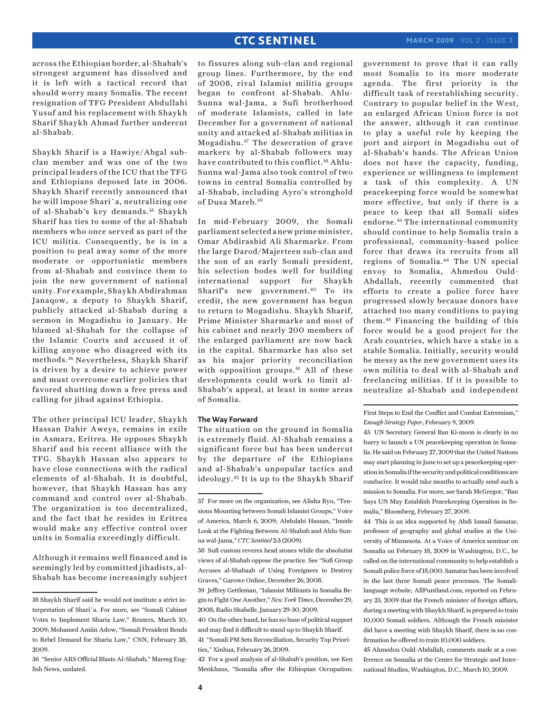across the Ethiopian border, al-Shabab's strongest argument has dissolved and it is left with a tactical record that should worry many Somalis. The recent resignation of TFG President Abdullahi Yusuf and his replacement with Shaykh Sharif Shaykh Ahmad further undercut al-Shabab.

Shaykh Sharif is a Hawiye/Abgal subclan member and was one of the two principal leaders of the ICU that the TFG and Ethiopians deposed late in 2006. Shaykh Sharif recently announced that he will impose Shari`a, neutralizing one of al-Shabab's key demands. 35 Shaykh Sharif has ties to some of the al-Shabab members who once served as part of the ICU militia. Consequently, he is in a position to peal away some of the more moderate or opportunistic members from al-Shabab and convince them to join the new government of national unity. For example, Shaykh Abdirahman Janaqow, a deputy to Shaykh Sharif, publicly attacked al-Shabab during a sermon in Mogadishu in January. He blamed al-Shabab for the collapse of the Islamic Courts and accused it of killing anyone who disagreed with its methods. 36 Nevertheless, Shaykh Sharif is driven by a desire to achieve power and must overcome earlier policies that favored shutting down a free press and calling for jihad against Ethiopia.

The other principal ICU leader, Shaykh Hassan Dahir Aweys, remains in exile in Asmara, Eritrea. He opposes Shaykh Sharif and his recent alliance with the TFG. Shaykh Hassan also appears to have close connections with the radical elements of al-Shabab. It is doubtful, however, that Shaykh Hassan has any command and control over al-Shabab. The organization is too decentralized, and the fact that he resides in Eritrea would make any effective control over units in Somalia exceedingly difficult.

Although it remains well financed and is seemingly led by committed jihadists, al-Shabab has become increasingly subject

to fissures along sub-clan and regional group lines. Furthermore, by the end of 2008, rival Islamist militia groups began to confront al-Shabab. Ahlu-Sunna wal-Jama, a Sufi brotherhood of moderate Islamists, called in late December for a government of national unity and attacked al-Shabab militias in Mogadishu. 37 The desecration of grave markers by al-Shabab followers may have contributed to this conflict.<sup>38</sup> Ahlu-Sunna wal-Jama also took control of two towns in central Somalia controlled by al-Shabab, including Ayro's stronghold of Dusa Mareb. 39

In mid-February 2009, the Somali parliament selected a new prime minister, Omar Abdirashid Ali Sharmarke. From the large Darod/Majerteen sub-clan and the son of an early Somali president, his selection bodes well for building international support for Shaykh Sharif's new government.40 To its credit, the new government has begun to return to Mogadishu. Shaykh Sharif, Prime Minister Sharmarke and most of his cabinet and nearly 200 members of the enlarged parliament are now back in the capital. Sharmarke has also set as his major priority reconciliation with opposition groups.<sup>41</sup> All of these developments could work to limit al-Shabab's appeal, at least in some areas of Somalia.

#### **The Way Forward**

The situation on the ground in Somalia is extremely fluid. Al-Shabab remains a significant force but has been undercut by the departure of the Ethiopians and al-Shabab's unpopular tactics and ideology.42 It is up to the Shaykh Sharif

42 For a good analysis of al-Shabab's position, see Ken Menkhaus, "Somalia after the Ethiopian Occupation: government to prove that it can rally most Somalis to its more moderate agenda. The first priority is the difficult task of reestablishing security. Contrary to popular belief in the West, an enlarged African Union force is not the answer, although it can continue to play a useful role by keeping the port and airport in Mogadishu out of al-Shabab's hands. The African Union does not have the capacity, funding, experience or willingness to implement a task of this complexity. A UN peacekeeping force would be somewhat more effective, but only if there is a peace to keep that all Somali sides endorse.43 The international community should continue to help Somalia train a professional, community-based police force that draws its recruits from all regions of Somalia.44 The UN special envoy to Somalia, Ahmedou Ould-Abdallah, recently commented that efforts to create a police force have progressed slowly because donors have attached too many conditions to paying them.45 Financing the building of this force would be a good project for the Arab countries, which have a stake in a stable Somalia. Initially, security would be messy as the new government uses its own militia to deal with al-Shabab and freelancing militias. If it is possible to neutralize al-Shabab and independent

First Steps to End the Conflict and Combat Extremism," *Enough Strategy Paper*, February 9, 2009.

43 UN Secretary General Ban Ki-moon is clearly in no hurry to launch a UN peacekeeping operation in Somalia. He said on February 27, 2009 that the United Nations may start planning in June to set up a peacekeeping operation in Somalia if the security and political conditions are conducive. It would take months to actually send such a mission to Somalia. For more, see Sarah McGregor, "Ban Says UN May Establish Peacekeeping Operation in Somalia," Bloomberg, February 27, 2009.

44 This is an idea supported by Abdi Ismail Samatar, professor of geography and global studies at the University of Minnesota. At a Voice of America seminar on Somalia on February 18, 2009 in Washington, D.C., he called on the international community to help establish a Somali police force of 15,000. Samatar has been involved in the last three Somali peace processes. The Somalilanguage website, AllPuntland.com, reported on February 23, 2009 that the French minister of foreign affairs, during a meeting with Shaykh Sharif, is prepared to train 10,000 Somali soldiers. Although the French minister did have a meeting with Shaykh Sharif, there is no confirmation he offered to train 10,000 soldiers.

45 Ahmedou Ould-Abdallah, comments made at a conference on Somalia at the Center for Strategic and International Studies, Washington, D.C., March 10, 2009.

<sup>35</sup> Shaykh Sharif said he would not institute a strict interpretation of Shari`a. For more, see "Somali Cabinet Votes to Implement Sharia Law," Reuters, March 10, 2009; Mohamed Amiin Adow, "Somali President Bends to Rebel Demand for Sharia Law," CNN, February 28, 2009.

<sup>36 &</sup>quot;Senior ARS Official Blasts Al-Shabab," Mareeg English News, undated.

<sup>37</sup> For more on the organization, see Alisha Ryu, "Tensions Mounting between Somali Islamist Groups," Voice of America, March 6, 2009; Abdulahi Hassan, "Inside Look at the Fighting Between Al-Shabab and Ahlu-Sunna wal-Jama," *CTC Sentinel* 2:3 (2009).

<sup>38</sup> Sufi custom reveres head stones while the absolutist views of al-Shabab oppose the practice. See "Sufi Group Accuses al-Shabaab of Using Foreigners to Destroy Graves," Garowe Online, December 26, 2008.

<sup>39</sup> Jeffrey Gettleman, "Islamist Militants in Somalia Begin to Fight One Another," *New York Times*, December 29, 2008; Radio Shabelle, January 29-30, 2009.

<sup>40</sup> On the other hand, he has no base of political support and may find it difficult to stand up to Shaykh Sharif.

<sup>41 &</sup>quot;Somali PM Sets Reconciliation, Security Top Priorities," Xinhua, February 26, 2009.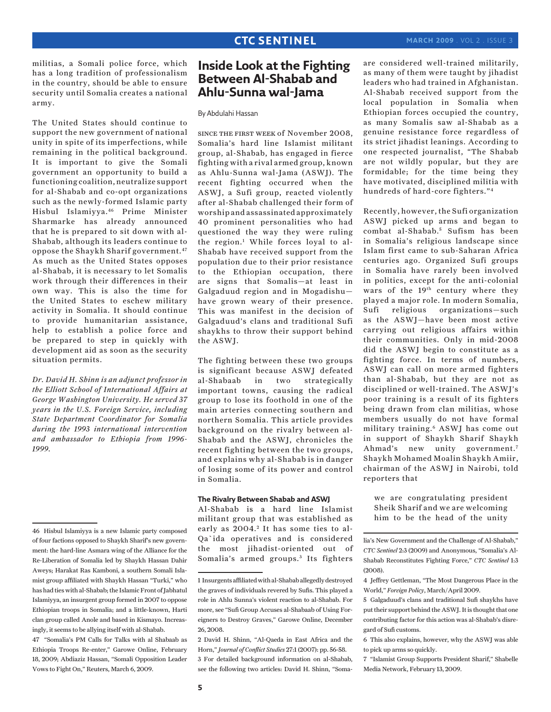militias, a Somali police force, which has a long tradition of professionalism in the country, should be able to ensure security until Somalia creates a national army.

The United States should continue to support the new government of national unity in spite of its imperfections, while remaining in the political background. It is important to give the Somali government an opportunity to build a functioning coalition, neutralize support for al-Shabab and co-opt organizations such as the newly-formed Islamic party Hisbul Islamiyya.46 Prime Minister Sharmarke has already announced that he is prepared to sit down with al-Shabab, although its leaders continue to oppose the Shaykh Sharif government.47 As much as the United States opposes al-Shabab, it is necessary to let Somalis work through their differences in their own way. This is also the time for the United States to eschew military activity in Somalia. It should continue to provide humanitarian assistance, help to establish a police force and be prepared to step in quickly with development aid as soon as the security situation permits.

*Dr. David H. Shinn is an adjunct professor in the Elliott School of International Affairs at George Washington University. He served 37 years in the U.S. Foreign Service, including State Department Coordinator for Somalia during the 1993 international intervention and ambassador to Ethiopia from 1996- 1999.* 

# **Inside Look at the Fighting Between Al-Shabab and Ahlu-Sunna wal-Jama**

By Abdulahi Hassan

since the first week of November 2008, Somalia's hard line Islamist militant group, al-Shabab, has engaged in fierce fighting with a rival armed group, known as Ahlu-Sunna wal-Jama (ASWJ). The recent fighting occurred when the ASWJ, a Sufi group, reacted violently after al-Shabab challenged their form of worship and assassinated approximately 40 prominent personalities who had questioned the way they were ruling the region.1 While forces loyal to al-Shabab have received support from the population due to their prior resistance to the Ethiopian occupation, there are signs that Somalis—at least in Galgaduud region and in Mogadishu have grown weary of their presence. This was manifest in the decision of Galgaduud's clans and traditional Sufi shaykhs to throw their support behind the ASWJ.

The fighting between these two groups is significant because ASWJ defeated al-Shabaab in two strategically important towns, causing the radical group to lose its foothold in one of the main arteries connecting southern and northern Somalia. This article provides background on the rivalry between al-Shabab and the ASWJ, chronicles the recent fighting between the two groups, and explains why al-Shabab is in danger of losing some of its power and control in Somalia.

### **The Rivalry Between Shabab and ASWJ**

Al-Shabab is a hard line Islamist militant group that was established as early as 2004.<sup>2</sup> It has some ties to al-Qa`ida operatives and is considered the most jihadist-oriented out of Somalia's armed groups.<sup>3</sup> Its fighters are considered well-trained militarily, as many of them were taught by jihadist leaders who had trained in Afghanistan. Al-Shabab received support from the local population in Somalia when Ethiopian forces occupied the country, as many Somalis saw al-Shabab as a genuine resistance force regardless of its strict jihadist leanings. According to one respected journalist, "The Shabab are not wildly popular, but they are formidable; for the time being they have motivated, disciplined militia with hundreds of hard-core fighters."4

Recently, however, the Sufi organization ASWJ picked up arms and began to combat al-Shabab.<sup>5</sup> Sufism has been in Somalia's religious landscape since Islam first came to sub-Saharan Africa centuries ago. Organized Sufi groups in Somalia have rarely been involved in politics, except for the anti-colonial wars of the 19th century where they played a major role. In modern Somalia, Sufi religious organizations—such as the ASWJ—have been most active carrying out religious affairs within their communities. Only in mid-2008 did the ASWJ begin to constitute as a fighting force. In terms of numbers, ASWJ can call on more armed fighters than al-Shabab, but they are not as disciplined or well-trained. The ASWJ's poor training is a result of its fighters being drawn from clan militias, whose members usually do not have formal military training.6 ASWJ has come out in support of Shaykh Sharif Shaykh Ahmad's new unity government.7 Shaykh Mohamed Moalin Shaykh Amiir, chairman of the ASWJ in Nairobi, told reporters that

we are congratulating president Sheik Sharif and we are welcoming him to be the head of the unity

<sup>46</sup> Hisbul Islamiyya is a new Islamic party composed of four factions opposed to Shaykh Sharif's new government: the hard-line Asmara wing of the Alliance for the Re-Liberation of Somalia led by Shaykh Hassan Dahir Aweys; Harakat Ras Kamboni, a southern Somali Islamist group affiliated with Shaykh Hassan "Turki," who has had ties with al-Shabab; the Islamic Front of Jabhatul Islamiyya, an insurgent group formed in 2007 to oppose Ethiopian troops in Somalia; and a little-known, Harti clan group called Anole and based in Kismayo. Increasingly, it seems to be allying itself with al-Shabab.

<sup>47 &</sup>quot;Somalia's PM Calls for Talks with al Shabaab as Ethiopia Troops Re-enter," Garowe Online, February 18, 2009; Abdiaziz Hassan, "Somali Opposition Leader Vows to Fight On," Reuters, March 6, 2009.

<sup>1</sup> Insurgents affiliated with al-Shabab allegedly destroyed the graves of individuals revered by Sufis. This played a role in Ahlu Sunna's violent reaction to al-Shabab. For more, see "Sufi Group Accuses al-Shabaab of Using Foreigners to Destroy Graves," Garowe Online, December 26, 2008.

<sup>2</sup> David H. Shinn, "Al-Qaeda in East Africa and the Horn," *Journal of Conflict Studies* 27:1 (2007): pp. 56-58. 3 For detailed background information on al-Shabab, see the following two articles: David H. Shinn, "Soma-

lia's New Government and the Challenge of Al-Shabab," *CTC Sentinel* 2:3 (2009) and Anonymous, "Somalia's Al-Shabab Reconstitutes Fighting Force," *CTC Sentinel* 1:3 (2008).

<sup>4</sup> Jeffrey Gettleman, "The Most Dangerous Place in the World," *Foreign Policy*, March/April 2009.

<sup>5</sup> Galgaduud's clans and traditional Sufi shaykhs have put their support behind the ASWJ. It is thought that one contributing factor for this action was al-Shabab's disregard of Sufi customs.

<sup>6</sup> This also explains, however, why the ASWJ was able to pick up arms so quickly.

<sup>7 &</sup>quot;Islamist Group Supports President Sharif," Shabelle Media Network, February 13, 2009.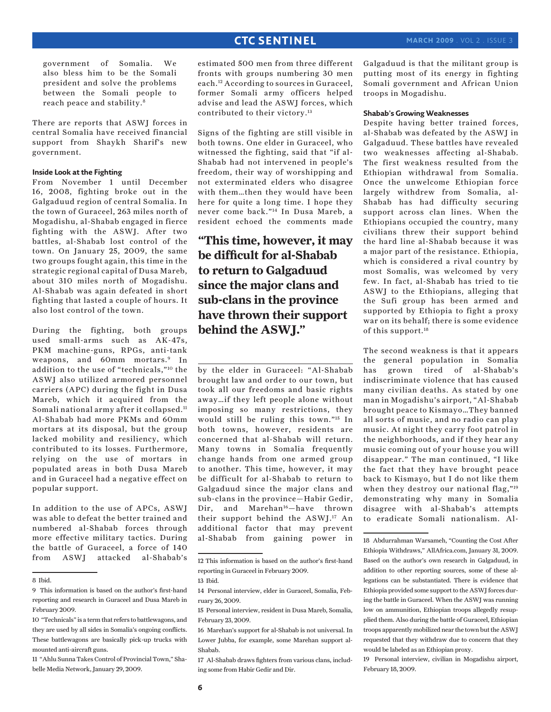government of Somalia. We also bless him to be the Somali president and solve the problems between the Somali people to reach peace and stability.8

There are reports that ASWJ forces in central Somalia have received financial support from Shaykh Sharif's new government.

### **Inside Look at the Fighting**

From November 1 until December 16, 2008, fighting broke out in the Galgaduud region of central Somalia. In the town of Guraceel, 263 miles north of Mogadishu, al-Shabab engaged in fierce fighting with the ASWJ. After two battles, al-Shabab lost control of the town. On January 25, 2009, the same two groups fought again, this time in the strategic regional capital of Dusa Mareb, about 310 miles north of Mogadishu. Al-Shabab was again defeated in short fighting that lasted a couple of hours. It also lost control of the town.

During the fighting, both groups used small-arms such as AK-47s, PKM machine-guns, RPGs, anti-tank weapons, and 60mm mortars.<sup>9</sup> In addition to the use of "technicals,"10 the ASWJ also utilized armored personnel carriers (APC) during the fight in Dusa Mareb, which it acquired from the Somali national army after it collapsed.11 Al-Shabab had more PKMs and 60mm mortars at its disposal, but the group lacked mobility and resiliency, which contributed to its losses. Furthermore, relying on the use of mortars in populated areas in both Dusa Mareb and in Guraceel had a negative effect on popular support.

In addition to the use of APCs, ASWJ was able to defeat the better trained and numbered al-Shabab forces through more effective military tactics. During the battle of Guraceel, a force of 140 from ASWJ attacked al-Shabab's

estimated 500 men from three different fronts with groups numbering 30 men each.12 According to sources in Guraceel, former Somali army officers helped advise and lead the ASWJ forces, which contributed to their victory.13

Signs of the fighting are still visible in both towns. One elder in Guraceel, who witnessed the fighting, said that "if al-Shabab had not intervened in people's freedom, their way of worshipping and not exterminated elders who disagree with them…then they would have been here for quite a long time. I hope they never come back."14 In Dusa Mareb, a resident echoed the comments made

**"This time, however, it may be difficult for al-Shabab to return to Galgaduud since the major clans and sub-clans in the province have thrown their support behind the ASWJ."**

by the elder in Guraceel: "Al-Shabab brought law and order to our town, but took all our freedoms and basic rights away…if they left people alone without imposing so many restrictions, they would still be ruling this town."15 In both towns, however, residents are concerned that al-Shabab will return. Many towns in Somalia frequently change hands from one armed group to another. This time, however, it may be difficult for al-Shabab to return to Galgaduud since the major clans and sub-clans in the province—Habir Gedir, Dir, and Marehan<sup>16</sup>-have thrown their support behind the ASWJ.17 An additional factor that may prevent al-Shabab from gaining power in Galgaduud is that the militant group is putting most of its energy in fighting Somali government and African Union troops in Mogadishu.

### **Shabab's Growing Weaknesses**

Despite having better trained forces, al-Shabab was defeated by the ASWJ in Galgaduud. These battles have revealed two weaknesses affecting al-Shabab. The first weakness resulted from the Ethiopian withdrawal from Somalia. Once the unwelcome Ethiopian force largely withdrew from Somalia, al-Shabab has had difficulty securing support across clan lines. When the Ethiopians occupied the country, many civilians threw their support behind the hard line al-Shabab because it was a major part of the resistance. Ethiopia, which is considered a rival country by most Somalis, was welcomed by very few. In fact, al-Shabab has tried to tie ASWJ to the Ethiopians, alleging that the Sufi group has been armed and supported by Ethiopia to fight a proxy war on its behalf; there is some evidence of this support.<sup>18</sup>

The second weakness is that it appears the general population in Somalia has grown tired of al-Shabab's indiscriminate violence that has caused many civilian deaths. As stated by one man in Mogadishu's airport, "Al-Shabab brought peace to Kismayo…They banned all sorts of music, and no radio can play music. At night they carry foot patrol in the neighborhoods, and if they hear any music coming out of your house you will disappear." The man continued, "I like the fact that they have brought peace back to Kismayo, but I do not like them when they destroy our national flag,"<sup>19</sup> demonstrating why many in Somalia disagree with al-Shabab's attempts to eradicate Somali nationalism. Al-

19 Personal interview, civilian in Mogadishu airport, February 18, 2009.

<sup>8</sup> Ibid.

<sup>9</sup> This information is based on the author's first-hand reporting and research in Guraceel and Dusa Mareb in February 2009.

<sup>10 &</sup>quot;Technicals" is a term that refers to battlewagons, and they are used by all sides in Somalia's ongoing conflicts. These battlewagons are basically pick-up trucks with mounted anti-aircraft guns.

<sup>11 &</sup>quot;Ahlu Sunna Takes Control of Provincial Town," Shabelle Media Network, January 29, 2009.

<sup>12</sup> This information is based on the author's first-hand reporting in Guraceel in February 2009.

<sup>13</sup> Ibid.

<sup>14</sup> Personal interview, elder in Guraceel, Somalia, February 26, 2009.

<sup>15</sup> Personal interview, resident in Dusa Mareb, Somalia, February 23, 2009.

<sup>16</sup> Marehan's support for al-Shabab is not universal. In Lower Jubba, for example, some Marehan support al-Shabab.

<sup>17</sup> Al-Shabab draws fighters from various clans, including some from Habir Gedir and Dir.

<sup>18</sup> Abdurrahman Warsameh, "Counting the Cost After Ethiopia Withdraws," AllAfrica.com, January 31, 2009. Based on the author's own research in Galgaduud, in addition to other reporting sources, some of these allegations can be substantiated. There is evidence that Ethiopia provided some support to the ASWJ forces during the battle in Guraceel. When the ASWJ was running low on ammunition, Ethiopian troops allegedly resupplied them. Also during the battle of Guraceel, Ethiopian troops apparently mobilized near the town but the ASWJ requested that they withdraw due to concern that they would be labeled as an Ethiopian proxy.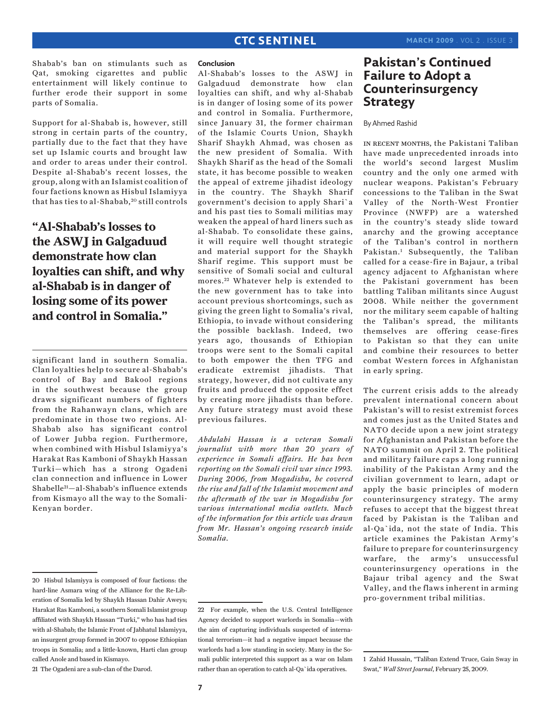Shabab's ban on stimulants such as Qat, smoking cigarettes and public entertainment will likely continue to further erode their support in some parts of Somalia.

Support for al-Shabab is, however, still strong in certain parts of the country, partially due to the fact that they have set up Islamic courts and brought law and order to areas under their control. Despite al-Shabab's recent losses, the group, along with an Islamist coalition of four factions known as Hisbul Islamiyya that has ties to al-Shabab, 20 still controls

# **"Al-Shabab's losses to the ASWJ in Galgaduud demonstrate how clan loyalties can shift, and why al-Shabab is in danger of losing some of its power and control in Somalia."**

significant land in southern Somalia. Clan loyalties help to secure al-Shabab's control of Bay and Bakool regions in the southwest because the group draws significant numbers of fighters from the Rahanwayn clans, which are predominate in those two regions. Al-Shabab also has significant control of Lower Jubba region. Furthermore, when combined with Hisbul Islamiyya's Harakat Ras Kamboni of Shaykh Hassan Turki—which has a strong Ogadeni clan connection and influence in Lower Shabelle21—al-Shabab's influence extends from Kismayo all the way to the Somali-Kenyan border.

### **Conclusion**

Al-Shabab's losses to the ASWJ in Galgaduud demonstrate how clan loyalties can shift, and why al-Shabab is in danger of losing some of its power and control in Somalia. Furthermore, since January 31, the former chairman of the Islamic Courts Union, Shaykh Sharif Shaykh Ahmad, was chosen as the new president of Somalia. With Shaykh Sharif as the head of the Somali state, it has become possible to weaken the appeal of extreme jihadist ideology in the country. The Shaykh Sharif government's decision to apply Shari`a and his past ties to Somali militias may weaken the appeal of hard liners such as al-Shabab. To consolidate these gains, it will require well thought strategic and material support for the Shaykh Sharif regime. This support must be sensitive of Somali social and cultural mores.<sup>22</sup> Whatever help is extended to the new government has to take into account previous shortcomings, such as giving the green light to Somalia's rival, Ethiopia, to invade without considering the possible backlash. Indeed, two years ago, thousands of Ethiopian troops were sent to the Somali capital to both empower the then TFG and eradicate extremist jihadists. That strategy, however, did not cultivate any fruits and produced the opposite effect by creating more jihadists than before. Any future strategy must avoid these previous failures.

*Abdulahi Hassan is a veteran Somali journalist with more than 20 years of experience in Somali affairs. He has been reporting on the Somali civil war since 1993. During 2006, from Mogadishu, he covered the rise and fall of the Islamist movement and the aftermath of the war in Mogadishu for various international media outlets. Much of the information for this article was drawn from Mr. Hassan's ongoing research inside Somalia.*

21 The Ogadeni are a sub-clan of the Darod.

# **Pakistan's Continued Failure to Adopt a Counterinsurgency Strategy**

### By Ahmed Rashid

IN RECENT MONTHS, the Pakistani Taliban have made unprecedented inroads into the world's second largest Muslim country and the only one armed with nuclear weapons. Pakistan's February concessions to the Taliban in the Swat Valley of the North-West Frontier Province (NWFP) are a watershed in the country's steady slide toward anarchy and the growing acceptance of the Taliban's control in northern Pakistan.1 Subsequently, the Taliban called for a cease-fire in Bajaur, a tribal agency adjacent to Afghanistan where the Pakistani government has been battling Taliban militants since August 2008. While neither the government nor the military seem capable of halting the Taliban's spread, the militants themselves are offering cease-fires to Pakistan so that they can unite and combine their resources to better combat Western forces in Afghanistan in early spring.

The current crisis adds to the already prevalent international concern about Pakistan's will to resist extremist forces and comes just as the United States and NATO decide upon a new joint strategy for Afghanistan and Pakistan before the NATO summit on April 2. The political and military failure caps a long running inability of the Pakistan Army and the civilian government to learn, adapt or apply the basic principles of modern counterinsurgency strategy. The army refuses to accept that the biggest threat faced by Pakistan is the Taliban and al-Qa`ida, not the state of India. This article examines the Pakistan Army's failure to prepare for counterinsurgency warfare, the army's unsuccessful counterinsurgency operations in the Bajaur tribal agency and the Swat Valley, and the flaws inherent in arming pro-government tribal militias.

<sup>20</sup> Hisbul Islamiyya is composed of four factions: the hard-line Asmara wing of the Alliance for the Re-Liberation of Somalia led by Shaykh Hassan Dahir Aweys; Harakat Ras Kamboni, a southern Somali Islamist group affiliated with Shaykh Hassan "Turki," who has had ties with al-Shabab; the Islamic Front of Jabhatul Islamiyya, an insurgent group formed in 2007 to oppose Ethiopian troops in Somalia; and a little-known, Harti clan group called Anole and based in Kismayo.

<sup>22</sup> For example, when the U.S. Central Intelligence Agency decided to support warlords in Somalia—with the aim of capturing individuals suspected of international terrorism—it had a negative impact because the warlords had a low standing in society. Many in the Somali public interpreted this support as a war on Islam rather than an operation to catch al-Qa`ida operatives.

<sup>1</sup> Zahid Hussain, "Taliban Extend Truce, Gain Sway in Swat," *Wall Street Journal*, February 25, 2009.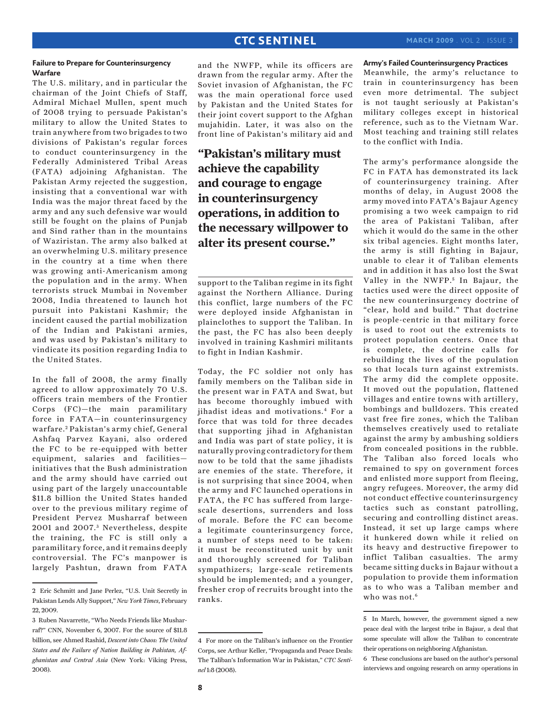### **Failure to Prepare for Counterinsurgency Warfare**

The U.S. military, and in particular the chairman of the Joint Chiefs of Staff, Admiral Michael Mullen, spent much of 2008 trying to persuade Pakistan's military to allow the United States to train anywhere from two brigades to two divisions of Pakistan's regular forces to conduct counterinsurgency in the Federally Administered Tribal Areas (FATA) adjoining Afghanistan. The Pakistan Army rejected the suggestion, insisting that a conventional war with India was the major threat faced by the army and any such defensive war would still be fought on the plains of Punjab and Sind rather than in the mountains of Waziristan. The army also balked at an overwhelming U.S. military presence in the country at a time when there was growing anti-Americanism among the population and in the army. When terrorists struck Mumbai in November 2008, India threatened to launch hot pursuit into Pakistani Kashmir; the incident caused the partial mobilization of the Indian and Pakistani armies, and was used by Pakistan's military to vindicate its position regarding India to the United States.

In the fall of 2008, the army finally agreed to allow approximately 70 U.S. officers train members of the Frontier Corps (FC)—the main paramilitary force in FATA—in counterinsurgency warfare. 2 Pakistan's army chief, General Ashfaq Parvez Kayani, also ordered the FC to be re-equipped with better equipment, salaries and facilities initiatives that the Bush administration and the army should have carried out using part of the largely unaccountable \$11.8 billion the United States handed over to the previous military regime of President Pervez Musharraf between 2001 and 2007.<sup>3</sup> Nevertheless, despite the training, the FC is still only a paramilitary force, and it remains deeply controversial. The FC's manpower is largely Pashtun, drawn from FATA

and the NWFP, while its officers are drawn from the regular army. After the Soviet invasion of Afghanistan, the FC was the main operational force used by Pakistan and the United States for their joint covert support to the Afghan mujahidin. Later, it was also on the front line of Pakistan's military aid and

**"Pakistan's military must achieve the capability and courage to engage in counterinsurgency operations, in addition to the necessary willpower to alter its present course."**

support to the Taliban regime in its fight against the Northern Alliance. During this conflict, large numbers of the FC were deployed inside Afghanistan in plainclothes to support the Taliban. In the past, the FC has also been deeply involved in training Kashmiri militants to fight in Indian Kashmir.

Today, the FC soldier not only has family members on the Taliban side in the present war in FATA and Swat, but has become thoroughly imbued with iihadist ideas and motivations.<sup>4</sup> For a force that was told for three decades that supporting jihad in Afghanistan and India was part of state policy, it is naturally proving contradictory for them now to be told that the same jihadists are enemies of the state. Therefore, it is not surprising that since 2004, when the army and FC launched operations in FATA, the FC has suffered from largescale desertions, surrenders and loss of morale. Before the FC can become a legitimate counterinsurgency force, a number of steps need to be taken: it must be reconstituted unit by unit and thoroughly screened for Taliban sympathizers; large-scale retirements should be implemented; and a younger, fresher crop of recruits brought into the ranks.

### **Army's Failed Counterinsurgency Practices**

Meanwhile, the army's reluctance to train in counterinsurgency has been even more detrimental. The subject is not taught seriously at Pakistan's military colleges except in historical reference, such as to the Vietnam War. Most teaching and training still relates to the conflict with India.

The army's performance alongside the FC in FATA has demonstrated its lack of counterinsurgency training. After months of delay, in August 2008 the army moved into FATA's Bajaur Agency promising a two week campaign to rid the area of Pakistani Taliban, after which it would do the same in the other six tribal agencies. Eight months later, the army is still fighting in Bajaur, unable to clear it of Taliban elements and in addition it has also lost the Swat Valley in the NWFP.<sup>5</sup> In Bajaur, the tactics used were the direct opposite of the new counterinsurgency doctrine of "clear, hold and build." That doctrine is people-centric in that military force is used to root out the extremists to protect population centers. Once that is complete, the doctrine calls for rebuilding the lives of the population so that locals turn against extremists. The army did the complete opposite. It moved out the population, flattened villages and entire towns with artillery, bombings and bulldozers. This created vast free fire zones, which the Taliban themselves creatively used to retaliate against the army by ambushing soldiers from concealed positions in the rubble. The Taliban also forced locals who remained to spy on government forces and enlisted more support from fleeing, angry refugees. Moreover, the army did not conduct effective counterinsurgency tactics such as constant patrolling, securing and controlling distinct areas. Instead, it set up large camps where it hunkered down while it relied on its heavy and destructive firepower to inflict Taliban casualties. The army became sitting ducks in Bajaur without a population to provide them information as to who was a Taliban member and who was not  $6$ 

<sup>2</sup> Eric Schmitt and Jane Perlez, "U.S. Unit Secretly in Pakistan Lends Ally Support," *New York Times*, February 22, 2009.

<sup>3</sup> Ruben Navarrette, "Who Needs Friends like Musharraf?" CNN, November 6, 2007. For the source of \$11.8 billion, see Ahmed Rashid, *Descent into Chaos: The United States and the Failure of Nation Building in Pakistan, Afghanistan and Central Asia* (New York: Viking Press, 2008).

<sup>4</sup> For more on the Taliban's influence on the Frontier Corps, see Arthur Keller, "Propaganda and Peace Deals: The Taliban's Information War in Pakistan," *CTC Sentinel* 1:8 (2008).

<sup>5</sup> In March, however, the government signed a new peace deal with the largest tribe in Bajaur, a deal that some speculate will allow the Taliban to concentrate their operations on neighboring Afghanistan.

<sup>6</sup> These conclusions are based on the author's personal interviews and ongoing research on army operations in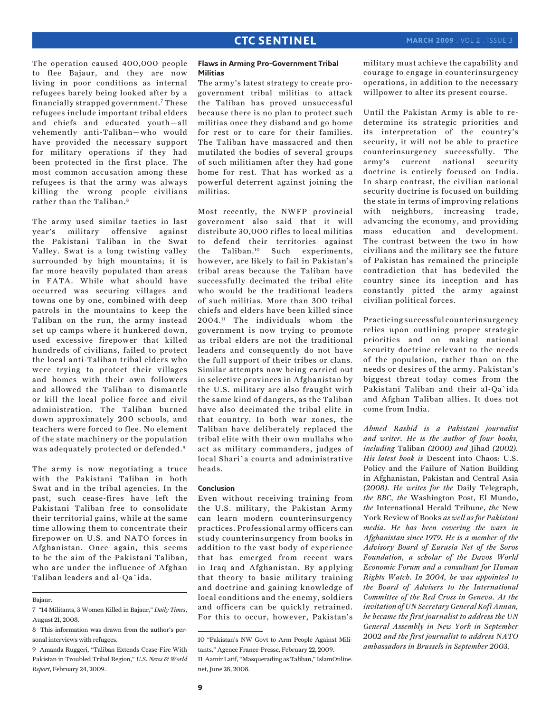The operation caused 400,000 people to flee Bajaur, and they are now living in poor conditions as internal refugees barely being looked after by a financially strapped government.7 These refugees include important tribal elders and chiefs and educated youth—all vehemently anti-Taliban—who would have provided the necessary support for military operations if they had been protected in the first place. The most common accusation among these refugees is that the army was always killing the wrong people—civilians rather than the Taliban.<sup>8</sup>

The army used similar tactics in last year's military offensive against the Pakistani Taliban in the Swat Valley. Swat is a long twisting valley surrounded by high mountains; it is far more heavily populated than areas in FATA. While what should have occurred was securing villages and towns one by one, combined with deep patrols in the mountains to keep the Taliban on the run, the army instead set up camps where it hunkered down, used excessive firepower that killed hundreds of civilians, failed to protect the local anti-Taliban tribal elders who were trying to protect their villages and homes with their own followers and allowed the Taliban to dismantle or kill the local police force and civil administration. The Taliban burned down approximately 200 schools, and teachers were forced to flee. No element of the state machinery or the population was adequately protected or defended.<sup>9</sup>

The army is now negotiating a truce with the Pakistani Taliban in both Swat and in the tribal agencies. In the past, such cease-fires have left the Pakistani Taliban free to consolidate their territorial gains, while at the same time allowing them to concentrate their firepower on U.S. and NATO forces in Afghanistan. Once again, this seems to be the aim of the Pakistani Taliban, who are under the influence of Afghan Taliban leaders and al-Qa`ida.

#### Bajaur.

### **Flaws in Arming Pro-Government Tribal Militias**

The army's latest strategy to create progovernment tribal militias to attack the Taliban has proved unsuccessful because there is no plan to protect such militias once they disband and go home for rest or to care for their families. The Taliban have massacred and then mutilated the bodies of several groups of such militiamen after they had gone home for rest. That has worked as a powerful deterrent against joining the militias.

Most recently, the NWFP provincial government also said that it will distribute 30,000 rifles to local militias to defend their territories against the Taliban.10 Such experiments, however, are likely to fail in Pakistan's tribal areas because the Taliban have successfully decimated the tribal elite who would be the traditional leaders of such militias. More than 300 tribal chiefs and elders have been killed since 2004.11 The individuals whom the government is now trying to promote as tribal elders are not the traditional leaders and consequently do not have the full support of their tribes or clans. Similar attempts now being carried out in selective provinces in Afghanistan by the U.S. military are also fraught with the same kind of dangers, as the Taliban have also decimated the tribal elite in that country. In both war zones, the Taliban have deliberately replaced the tribal elite with their own mullahs who act as military commanders, judges of local Shari`a courts and administrative heads.

### **Conclusion**

Even without receiving training from the U.S. military, the Pakistan Army can learn modern counterinsurgency practices. Professional army officers can study counterinsurgency from books in addition to the vast body of experience that has emerged from recent wars in Iraq and Afghanistan. By applying that theory to basic military training and doctrine and gaining knowledge of local conditions and the enemy, soldiers and officers can be quickly retrained. For this to occur, however, Pakistan's

military must achieve the capability and courage to engage in counterinsurgency operations, in addition to the necessary willpower to alter its present course.

Until the Pakistan Army is able to redetermine its strategic priorities and its interpretation of the country's security, it will not be able to practice counterinsurgency successfully. The army's current national security doctrine is entirely focused on India. In sharp contrast, the civilian national security doctrine is focused on building the state in terms of improving relations with neighbors, increasing trade, advancing the economy, and providing mass education and development. The contrast between the two in how civilians and the military see the future of Pakistan has remained the principle contradiction that has bedeviled the country since its inception and has constantly pitted the army against civilian political forces.

Practicing successful counterinsurgency relies upon outlining proper strategic priorities and on making national security doctrine relevant to the needs of the population, rather than on the needs or desires of the army. Pakistan's biggest threat today comes from the Pakistani Taliban and their al-Qa`ida and Afghan Taliban allies. It does not come from India.

*Ahmed Rashid is a Pakistani journalist and writer. He is the author of four books, including* Taliban *(2000) and* Jihad *(2002). His latest book is* Descent into Chaos: U.S. Policy and the Failure of Nation Building in Afghanistan, Pakistan and Central Asia *(2008). He writes for the* Daily Telegraph, *the BBC, the* Washington Post, El Mundo, *the* International Herald Tribune, *the* New York Review of Books *as well as for Pakistani media. He has been covering the wars in Afghanistan since 1979. He is a member of the Advisory Board of Eurasia Net of the Soros Foundation, a scholar of the Davos World Economic Forum and a consultant for Human Rights Watch. In 2004, he was appointed to the Board of Advisers to the International Committee of the Red Cross in Geneva. At the invitation of UN Secretary General Kofi Annan, he became the first journalist to address the UN General Assembly in New York in September 2002 and the first journalist to address NATO ambassadors in Brussels in September 2003.*

<sup>7 &</sup>quot;14 Militants, 3 Women Killed in Bajaur," *Daily Times*, August 21, 2008.

<sup>8</sup> This information was drawn from the author's personal interviews with refugees.

<sup>9</sup> Amanda Ruggeri, "Taliban Extends Cease-Fire With Pakistan in Troubled Tribal Region," *U.S. News & World Report*, February 24, 2009.

<sup>10 &</sup>quot;Pakistan's NW Govt to Arm People Against Militants," Agence France-Presse, February 22, 2009.

<sup>11</sup> Aamir Latif, "Masquerading as Taliban," IslamOnline. net, June 28, 2008.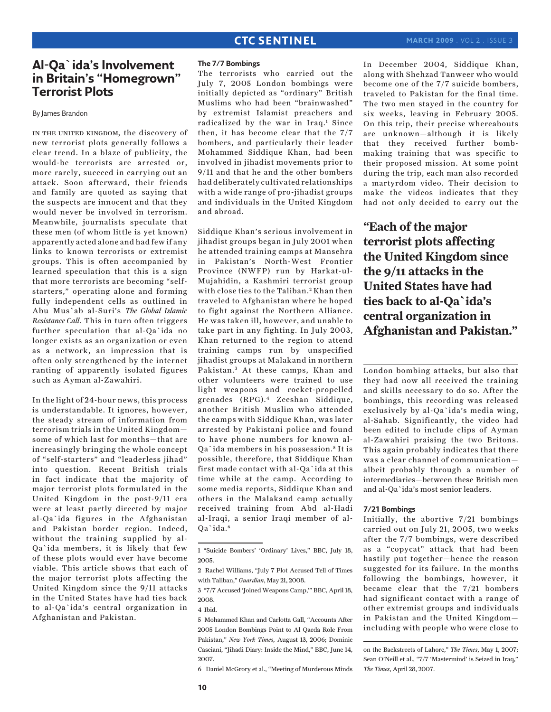# **Al-Qa`ida's Involvement in Britain's "Homegrown" Terrorist Plots**

By James Brandon

in the united kingdom, the discovery of new terrorist plots generally follows a clear trend. In a blaze of publicity, the would-be terrorists are arrested or, more rarely, succeed in carrying out an attack. Soon afterward, their friends and family are quoted as saying that the suspects are innocent and that they would never be involved in terrorism. Meanwhile, journalists speculate that these men (of whom little is yet known) apparently acted alone and had few if any links to known terrorists or extremist groups. This is often accompanied by learned speculation that this is a sign that more terrorists are becoming "selfstarters," operating alone and forming fully independent cells as outlined in Abu Mus`ab al-Suri's *The Global Islamic Resistance Call*. This in turn often triggers further speculation that al-Qa`ida no longer exists as an organization or even as a network, an impression that is often only strengthened by the internet ranting of apparently isolated figures such as Ayman al-Zawahiri.

In the light of 24-hour news, this process is understandable. It ignores, however, the steady stream of information from terrorism trials in the United Kingdom some of which last for months—that are increasingly bringing the whole concept of "self-starters" and "leaderless jihad" into question. Recent British trials in fact indicate that the majority of major terrorist plots formulated in the United Kingdom in the post-9/11 era were at least partly directed by major al-Qa`ida figures in the Afghanistan and Pakistan border region. Indeed, without the training supplied by al-Qa`ida members, it is likely that few of these plots would ever have become viable. This article shows that each of the major terrorist plots affecting the United Kingdom since the 9/11 attacks in the United States have had ties back to al-Qa`ida's central organization in Afghanistan and Pakistan.

### **The 7/7 Bombings**

The terrorists who carried out the July 7, 2005 London bombings were initially depicted as "ordinary" British Muslims who had been "brainwashed" by extremist Islamist preachers and radicalized by the war in Iraq.<sup>1</sup> Since then, it has become clear that the 7/7 bombers, and particularly their leader Mohammed Siddique Khan, had been involved in jihadist movements prior to 9/11 and that he and the other bombers had deliberately cultivated relationships with a wide range of pro-jihadist groups and individuals in the United Kingdom and abroad.

Siddique Khan's serious involvement in jihadist groups began in July 2001 when he attended training camps at Mansehra in Pakistan's North-West Frontier Province (NWFP) run by Harkat-ul-Mujahidin, a Kashmiri terrorist group with close ties to the Taliban.<sup>2</sup> Khan then traveled to Afghanistan where he hoped to fight against the Northern Alliance. He was taken ill, however, and unable to take part in any fighting. In July 2003, Khan returned to the region to attend training camps run by unspecified jihadist groups at Malakand in northern Pakistan.<sup>3</sup> At these camps, Khan and other volunteers were trained to use light weapons and rocket-propelled grenades (RPG).4 Zeeshan Siddique, another British Muslim who attended the camps with Siddique Khan, was later arrested by Pakistani police and found to have phone numbers for known al-Qa`ida members in his possession.<sup>5</sup> It is possible, therefore, that Siddique Khan first made contact with al-Qa`ida at this time while at the camp. According to some media reports, Siddique Khan and others in the Malakand camp actually received training from Abd al-Hadi al-Iraqi, a senior Iraqi member of al-Qa`ida.6

6 Daniel McGrory et al., "Meeting of Murderous Minds

In December 2004, Siddique Khan, along with Shehzad Tanweer who would become one of the 7/7 suicide bombers, traveled to Pakistan for the final time. The two men stayed in the country for six weeks, leaving in February 2005. On this trip, their precise whereabouts are unknown—although it is likely that they received further bombmaking training that was specific to their proposed mission. At some point during the trip, each man also recorded a martyrdom video. Their decision to make the videos indicates that they had not only decided to carry out the

**"Each of the major terrorist plots affecting the United Kingdom since the 9/11 attacks in the United States have had ties back to al-Qa`ida's central organization in Afghanistan and Pakistan."**

London bombing attacks, but also that they had now all received the training and skills necessary to do so. After the bombings, this recording was released exclusively by al-Qa`ida's media wing, al-Sahab. Significantly, the video had been edited to include clips of Ayman al-Zawahiri praising the two Britons. This again probably indicates that there was a clear channel of communication albeit probably through a number of intermediaries—between these British men and al-Qa`ida's most senior leaders.

### **7/21 Bombings**

Initially, the abortive 7/21 bombings carried out on July 21, 2005, two weeks after the 7/7 bombings, were described as a "copycat" attack that had been hastily put together—hence the reason suggested for its failure. In the months following the bombings, however, it became clear that the 7/21 bombers had significant contact with a range of other extremist groups and individuals in Pakistan and the United Kingdom including with people who were close to

on the Backstreets of Lahore," *The Times*, May 1, 2007; Sean O'Neill et al., "7/7 'Mastermind' is Seized in Iraq," *The Times*, April 28, 2007.

<sup>1 &</sup>quot;Suicide Bombers' 'Ordinary' Lives," BBC, July 18, 2005.

<sup>2</sup> Rachel Williams, "July 7 Plot Accused Tell of Times with Taliban," *Guardian*, May 21, 2008.

<sup>3 &</sup>quot;7/7 Accused 'Joined Weapons Camp,'" BBC, April 18, 2008.

<sup>4</sup> Ibid.

<sup>5</sup> Mohammed Khan and Carlotta Gall, "Accounts After 2005 London Bombings Point to Al Qaeda Role From Pakistan," *New York Times*, August 13, 2006; Dominic Casciani, "Jihadi Diary: Inside the Mind," BBC, June 14, 2007.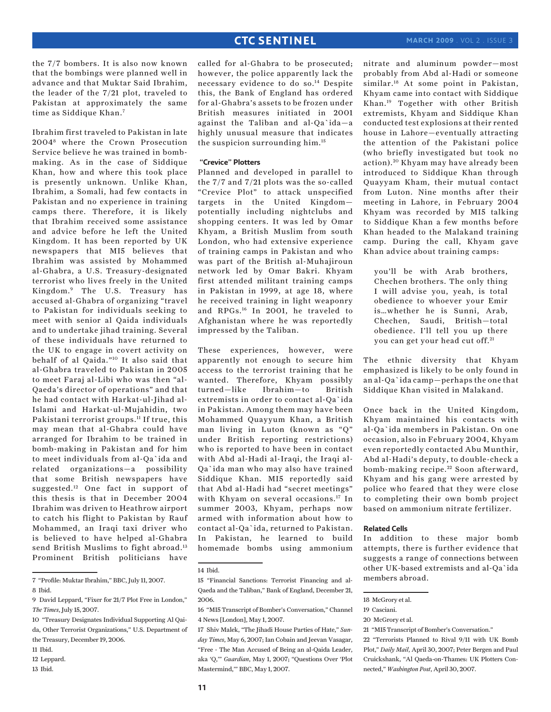the 7/7 bombers. It is also now known that the bombings were planned well in advance and that Muktar Said Ibrahim, the leader of the 7/21 plot, traveled to Pakistan at approximately the same time as Siddique Khan.7

Ibrahim first traveled to Pakistan in late 20048 where the Crown Prosecution Service believe he was trained in bombmaking. As in the case of Siddique Khan, how and where this took place is presently unknown. Unlike Khan, Ibrahim, a Somali, had few contacts in Pakistan and no experience in training camps there. Therefore, it is likely that Ibrahim received some assistance and advice before he left the United Kingdom. It has been reported by UK newspapers that MI5 believes that Ibrahim was assisted by Mohammed al-Ghabra, a U.S. Treasury-designated terrorist who lives freely in the United Kingdom.9 The U.S. Treasury has accused al-Ghabra of organizing "travel to Pakistan for individuals seeking to meet with senior al Qaida individuals and to undertake jihad training. Several of these individuals have returned to the UK to engage in covert activity on behalf of al Qaida."10 It also said that al-Ghabra traveled to Pakistan in 2005 to meet Faraj al-Libi who was then "al-Qaeda's director of operations" and that he had contact with Harkat-ul-Jihad al-Islami and Harkat-ul-Mujahidin, two Pakistani terrorist groups.<sup>11</sup> If true, this may mean that al-Ghabra could have arranged for Ibrahim to be trained in bomb-making in Pakistan and for him to meet individuals from al-Qa`ida and related organizations—a possibility that some British newspapers have suggested.12 One fact in support of this thesis is that in December 2004 Ibrahim was driven to Heathrow airport to catch his flight to Pakistan by Rauf Mohammed, an Iraqi taxi driver who is believed to have helped al-Ghabra send British Muslims to fight abroad.<sup>13</sup> Prominent British politicians have

13 Ibid.

called for al-Ghabra to be prosecuted; however, the police apparently lack the necessary evidence to do so.14 Despite this, the Bank of England has ordered for al-Ghabra's assets to be frozen under British measures initiated in 2001 against the Taliban and al-Qa`ida—a highly unusual measure that indicates the suspicion surrounding him.15

### **"Crevice" Plotters**

Planned and developed in parallel to the 7/7 and 7/21 plots was the so-called "Crevice Plot" to attack unspecified targets in the United Kingdom potentially including nightclubs and shopping centers. It was led by Omar Khyam, a British Muslim from south London, who had extensive experience of training camps in Pakistan and who was part of the British al-Muhajiroun network led by Omar Bakri. Khyam first attended militant training camps in Pakistan in 1999, at age 18, where he received training in light weaponry and RPGs.16 In 2001, he traveled to Afghanistan where he was reportedly impressed by the Taliban.

These experiences, however, were apparently not enough to secure him access to the terrorist training that he wanted. Therefore, Khyam possibly turned—like Ibrahim—to British extremists in order to contact al-Qa`ida in Pakistan. Among them may have been Mohammed Quayyum Khan, a British man living in Luton (known as "Q" under British reporting restrictions) who is reported to have been in contact with Abd al-Hadi al-Iraqi, the Iraqi al-Qa`ida man who may also have trained Siddique Khan. MI5 reportedly said that Abd al-Hadi had "secret meetings" with Khyam on several occasions.17 In summer 2003, Khyam, perhaps now armed with information about how to contact al-Qa`ida, returned to Pakistan. In Pakistan, he learned to build homemade bombs using ammonium

nitrate and aluminum powder—most probably from Abd al-Hadi or someone similar.<sup>18</sup> At some point in Pakistan, Khyam came into contact with Siddique Khan.19 Together with other British extremists, Khyam and Siddique Khan conducted test explosions at their rented house in Lahore—eventually attracting the attention of the Pakistani police (who briefly investigated but took no action).<sup>20</sup> Khyam may have already been introduced to Siddique Khan through Quayyam Kham, their mutual contact from Luton. Nine months after their meeting in Lahore, in February 2004 Khyam was recorded by MI5 talking to Siddique Khan a few months before Khan headed to the Malakand training camp. During the call, Khyam gave Khan advice about training camps:

you'll be with Arab brothers, Chechen brothers. The only thing I will advise you, yeah, is total obedience to whoever your Emir is…whether he is Sunni, Arab, Chechen, Saudi, British—total obedience. I'll tell you up there you can get your head cut off.<sup>21</sup>

The ethnic diversity that Khyam emphasized is likely to be only found in an al-Qa`ida camp—perhaps the one that Siddique Khan visited in Malakand.

Once back in the United Kingdom, Khyam maintained his contacts with al-Qa`ida members in Pakistan. On one occasion, also in February 2004, Khyam even reportedly contacted Abu Munthir, Abd al-Hadi's deputy, to double-check a bomb-making recipe.<sup>22</sup> Soon afterward, Khyam and his gang were arrested by police who feared that they were close to completing their own bomb project based on ammonium nitrate fertilizer.

### **Related Cells**

In addition to these major bomb attempts, there is further evidence that suggests a range of connections between other UK-based extremists and al-Qa`ida members abroad.

<sup>7 &</sup>quot;Profile: Muktar Ibrahim," BBC, July 11, 2007.

<sup>8</sup> Ibid.

<sup>9</sup> David Leppard, "Fixer for 21/7 Plot Free in London," *The Times*, July 15, 2007.

<sup>10 &</sup>quot;Treasury Designates Individual Supporting Al Qaida, Other Terrorist Organizations," U.S. Department of the Treasury, December 19, 2006.

<sup>11</sup> Ibid.

<sup>12</sup> Leppard.

<sup>14</sup> Ibid.

<sup>15 &</sup>quot;Financial Sanctions: Terrorist Financing and al-Qaeda and the Taliban," Bank of England, December 21, 2006.

<sup>16 &</sup>quot;MI5 Transcript of Bomber's Conversation," Channel 4 News [London], May 1, 2007.

<sup>17</sup> Shiv Malek, "The Jihadi House Parties of Hate," *Sunday Times*, May 6, 2007; Ian Cobain and Jeevan Vasagar, "Free - The Man Accused of Being an al-Qaida Leader, aka 'Q,'" *Guardian*, May 1, 2007; "Questions Over 'Plot Mastermind,'" BBC, May 1, 2007.

<sup>18</sup> McGrory et al.

<sup>19</sup> Casciani.

<sup>20</sup> McGrory et al.

<sup>21 &</sup>quot;MI5 Transcript of Bomber's Conversation."

<sup>22 &</sup>quot;Terrorists Planned to Rival 9/11 with UK Bomb Plot," *Daily Mail*, April 30, 2007; Peter Bergen and Paul Cruickshank, "Al Qaeda-on-Thames: UK Plotters Connected," *Washington Post*, April 30, 2007.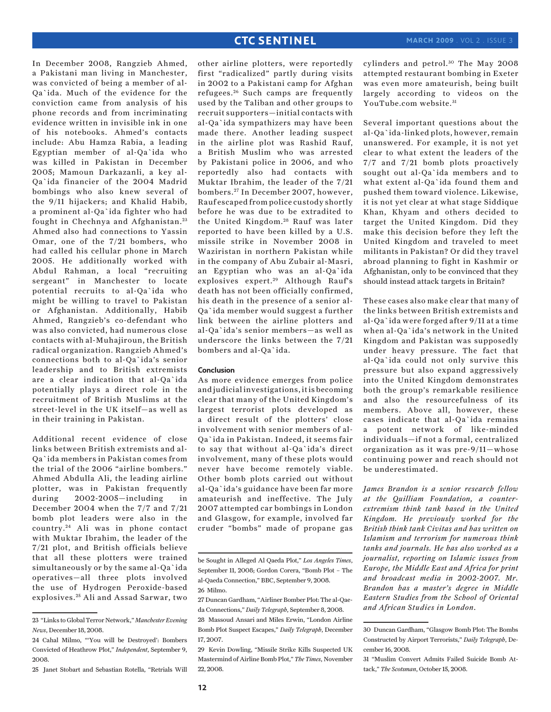In December 2008, Rangzieb Ahmed, a Pakistani man living in Manchester, was convicted of being a member of al-Qa`ida. Much of the evidence for the conviction came from analysis of his phone records and from incriminating evidence written in invisible ink in one of his notebooks. Ahmed's contacts include: Abu Hamza Rabia, a leading Egyptian member of al-Qa`ida who was killed in Pakistan in December 2005; Mamoun Darkazanli, a key al-Qa`ida financier of the 2004 Madrid bombings who also knew several of the 9/11 hijackers; and Khalid Habib, a prominent al-Qa`ida fighter who had fought in Chechnya and Afghanistan.<sup>23</sup> Ahmed also had connections to Yassin Omar, one of the 7/21 bombers, who had called his cellular phone in March 2005. He additionally worked with Abdul Rahman, a local "recruiting sergeant" in Manchester to locate potential recruits to al-Qa`ida who might be willing to travel to Pakistan or Afghanistan. Additionally, Habib Ahmed, Rangzieb's co-defendant who was also convicted, had numerous close contacts with al-Muhajiroun, the British radical organization. Rangzieb Ahmed's connections both to al-Qa`ida's senior leadership and to British extremists are a clear indication that al-Qa`ida potentially plays a direct role in the recruitment of British Muslims at the street-level in the UK itself—as well as in their training in Pakistan.

Additional recent evidence of close links between British extremists and al-Qa`ida members in Pakistan comes from the trial of the 2006 "airline bombers." Ahmed Abdulla Ali, the leading airline plotter, was in Pakistan frequently during 2002-2005—including in December 2004 when the 7/7 and 7/21 bomb plot leaders were also in the country. 24 Ali was in phone contact with Muktar Ibrahim, the leader of the 7/21 plot, and British officials believe that all these plotters were trained simultaneously or by the same al-Qa`ida operatives—all three plots involved the use of Hydrogen Peroxide-based explosives. 25 Ali and Assad Sarwar, two

25 Janet Stobart and Sebastian Rotella, "Retrials Will

other airline plotters, were reportedly first "radicalized" partly during visits in 2002 to a Pakistani camp for Afghan refugees. 26 Such camps are frequently used by the Taliban and other groups to recruit supporters—initial contacts with al-Qa`ida sympathizers may have been made there. Another leading suspect in the airline plot was Rashid Rauf, a British Muslim who was arrested by Pakistani police in 2006, and who reportedly also had contacts with Muktar Ibrahim, the leader of the 7/21 bombers. 27 In December 2007, however, Rauf escaped from police custody shortly before he was due to be extradited to the United Kingdom.<sup>28</sup> Rauf was later reported to have been killed by a U.S. missile strike in November 2008 in Waziristan in northern Pakistan while in the company of Abu Zubair al-Masri, an Egyptian who was an al-Qa`ida explosives expert.<sup>29</sup> Although Rauf's death has not been officially confirmed, his death in the presence of a senior al-Qa`ida member would suggest a further link between the airline plotters and al-Qa`ida's senior members—as well as

### **Conclusion**

bombers and al-Qa`ida.

As more evidence emerges from police and judicial investigations, it is becoming clear that many of the United Kingdom's largest terrorist plots developed as a direct result of the plotters' close involvement with senior members of al-Qa`ida in Pakistan. Indeed, it seems fair to say that without al-Qa`ida's direct involvement, many of these plots would never have become remotely viable. Other bomb plots carried out without al-Qa`ida's guidance have been far more amateurish and ineffective. The July 2007 attempted car bombings in London and Glasgow, for example, involved far cruder "bombs" made of propane gas

underscore the links between the 7/21

Several important questions about the al-Qa`ida-linked plots, however, remain unanswered. For example, it is not yet clear to what extent the leaders of the 7/7 and 7/21 bomb plots proactively sought out al-Qa`ida members and to what extent al-Qa`ida found them and pushed them toward violence. Likewise, it is not yet clear at what stage Siddique Khan, Khyam and others decided to target the United Kingdom. Did they make this decision before they left the United Kingdom and traveled to meet militants in Pakistan? Or did they travel abroad planning to fight in Kashmir or Afghanistan, only to be convinced that they should instead attack targets in Britain?

These cases also make clear that many of the links between British extremists and al-Qa`ida were forged after 9/11 at a time when al-Qa`ida's network in the United Kingdom and Pakistan was supposedly under heavy pressure. The fact that al-Qa`ida could not only survive this pressure but also expand aggressively into the United Kingdom demonstrates both the group's remarkable resilience and also the resourcefulness of its members. Above all, however, these cases indicate that al-Qa`ida remains a potent network of like-minded individuals—if not a formal, centralized organization as it was pre-9/11—whose continuing power and reach should not be underestimated.

*James Brandon is a senior research fellow at the Quilliam Foundation, a counterextremism think tank based in the United Kingdom. He previously worked for the British think tank Civitas and has written on Islamism and terrorism for numerous think tanks and journals. He has also worked as a journalist, reporting on Islamic issues from Europe, the Middle East and Africa for print and broadcast media in 2002-2007. Mr. Brandon has a master's degree in Middle Eastern Studies from the School of Oriental and African Studies in London.*

<sup>23 &</sup>quot;Links to Global Terror Network," *Manchester Evening News*, December 18, 2008.

<sup>24</sup> Cahal Milmo, "'You will be Destroyed': Bombers Convicted of Heathrow Plot," *Independent*, September 9, 2008.

be Sought in Alleged Al Qaeda Plot," *Los Angeles Times*, September 11, 2008; Gordon Corera, "Bomb Plot – The al-Qaeda Connection," BBC, September 9, 2008. 26 Milmo.

<sup>27</sup> Duncan Gardham, "Airliner Bomber Plot: The al-Qaeda Connections," *Daily Telegraph*, September 8, 2008.

<sup>28</sup> Massoud Ansari and Miles Erwin, "London Airline Bomb Plot Suspect Escapes," *Daily Telegraph*, December 17, 2007.

<sup>29</sup> Kevin Dowling, "Missile Strike Kills Suspected UK Mastermind of Airline Bomb Plot," *The Times*, November 22, 2008.

cylinders and petrol.<sup>30</sup> The May 2008 attempted restaurant bombing in Exeter was even more amateurish, being built largely according to videos on the YouTube.com website. 31

<sup>30</sup> Duncan Gardham, "Glasgow Bomb Plot: The Bombs Constructed by Airport Terrorists," *Daily Telegraph*, December 16, 2008.

<sup>31 &</sup>quot;Muslim Convert Admits Failed Suicide Bomb Attack," *The Scotsman*, October 15, 2008.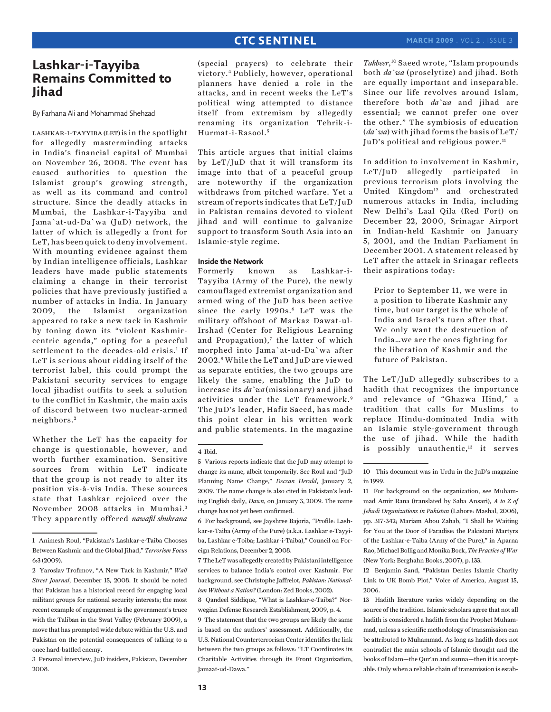# **Lashkar-i-Tayyiba Remains Committed to Jihad**

By Farhana Ali and Mohammad Shehzad

LASHKAR-I-TAYYIBA (LET) is in the spotlight for allegedly masterminding attacks in India's financial capital of Mumbai on November 26, 2008. The event has caused authorities to question the Islamist group's growing strength, as well as its command and control structure. Since the deadly attacks in Mumbai, the Lashkar-i-Tayyiba and Jama`at-ud-Da`wa (JuD) network, the latter of which is allegedly a front for LeT, has been quick to deny involvement. With mounting evidence against them by Indian intelligence officials, Lashkar leaders have made public statements claiming a change in their terrorist policies that have previously justified a number of attacks in India. In January 2009, the Islamist organization appeared to take a new tack in Kashmir by toning down its "violent Kashmircentric agenda," opting for a peaceful settlement to the decades-old crisis.<sup>1</sup> If LeT is serious about ridding itself of the terrorist label, this could prompt the Pakistani security services to engage local jihadist outfits to seek a solution to the conflict in Kashmir, the main axis of discord between two nuclear-armed neighbors. <sup>2</sup>

Whether the LeT has the capacity for change is questionable, however, and worth further examination. Sensitive sources from within LeT indicate that the group is not ready to alter its position vis-à-vis India. These sources state that Lashkar rejoiced over the November 2008 attacks in Mumbai. <sup>3</sup> They apparently offered *nawafil shukrana*

3 Personal interview, JuD insiders, Pakistan, December 2008.

(special prayers) to celebrate their victory.4 Publicly, however, operational planners have denied a role in the attacks, and in recent weeks the LeT's political wing attempted to distance itself from extremism by allegedly renaming its organization Tehrik-i-Hurmat-i-Rasool. <sup>5</sup>

This article argues that initial claims by LeT/JuD that it will transform its image into that of a peaceful group are noteworthy if the organization withdraws from pitched warfare. Yet a stream of reports indicates that LeT/JuD in Pakistan remains devoted to violent jihad and will continue to galvanize support to transform South Asia into an Islamic-style regime.

### **Inside the Network**

Formerly known as Lashkar-i-Tayyiba (Army of the Pure), the newly camouflaged extremist organization and armed wing of the JuD has been active since the early 1990s.<sup>6</sup> LeT was the military offshoot of Markaz Dawat-ul-Irshad (Center for Religious Learning and Propagation), $^7$  the latter of which morphed into Jama`at-ud-Da`wa after 2002.8 While the LeT and JuD are viewed as separate entities, the two groups are likely the same, enabling the JuD to increase its *da`wa* (missionary) and jihad activities under the LeT framework.<sup>9</sup> The JuD's leader, Hafiz Saeed, has made this point clear in his written work and public statements. In the magazine

#### 4 Ibid.

*Takbeer*, 10 Saeed wrote, "Islam propounds both *da`wa* (proselytize) and jihad. Both are equally important and inseparable. Since our life revolves around Islam, therefore both *da`wa* and jihad are essential; we cannot prefer one over the other." The symbiosis of education (*da`wa*) with jihad forms the basis of LeT/ JuD's political and religious power.<sup>11</sup>

In addition to involvement in Kashmir, LeT/JuD allegedly participated in previous terrorism plots involving the United Kingdom<sup>12</sup> and orchestrated numerous attacks in India, including New Delhi's Laal Qila (Red Fort) on December 22, 2000, Srinagar Airport in Indian-held Kashmir on January 5, 2001, and the Indian Parliament in December 2001. A statement released by LeT after the attack in Srinagar reflects their aspirations today:

Prior to September 11, we were in a position to liberate Kashmir any time, but our target is the whole of India and Israel's turn after that. We only want the destruction of India…we are the ones fighting for the liberation of Kashmir and the future of Pakistan.

The LeT/JuD allegedly subscribes to a hadith that recognizes the importance and relevance of "Ghazwa Hind," a tradition that calls for Muslims to replace Hindu-dominated India with an Islamic style-government through the use of jihad. While the hadith is possibly unauthentic,<sup>13</sup> it serves

12 Benjamin Sand, "Pakistan Denies Islamic Charity Link to UK Bomb Plot," Voice of America, August 15, 2006.

<sup>1</sup> Animesh Roul, "Pakistan's Lashkar-e-Taiba Chooses Between Kashmir and the Global Jihad," *Terrorism Focus*  6:3 (2009).

<sup>2</sup> Yaroslav Trofimov, "A New Tack in Kashmir," *Wall Street Journal*, December 15, 2008. It should be noted that Pakistan has a historical record for engaging local militant groups for national security interests; the most recent example of engagement is the government's truce with the Taliban in the Swat Valley (February 2009), a move that has prompted wide debate within the U.S. and Pakistan on the potential consequences of talking to a once hard-battled enemy.

<sup>5</sup> Various reports indicate that the JuD may attempt to change its name, albeit temporarily. See Roul and "JuD Planning Name Change," *Deccan Herald*, January 2, 2009. The name change is also cited in Pakistan's leading English daily, *Dawn*, on January 3, 2009. The name change has not yet been confirmed.

<sup>6</sup> For background, see Jayshree Bajoria, "Profile: Lashkar-e-Taiba (Army of the Pure) (a.k.a. Lashkar e-Tayyiba, Lashkar e-Toiba; Lashkar-i-Taiba)," Council on Foreign Relations, December 2, 2008.

<sup>7</sup> The LeT was allegedly created by Pakistani intelligence services to balance India's control over Kashmir. For background, see Christophe Jaffrelot, *Pakistan: Nationalism Without a Nation?* (London: Zed Books, 2002).

<sup>8</sup> Qandeel Siddique, "What is Lashkar-e-Taiba?" Norwegian Defense Research Establishment, 2009, p. 4.

<sup>9</sup> The statement that the two groups are likely the same is based on the authors' assessment. Additionally, the U.S. National Counterterrorism Center identifies the link between the two groups as follows: "LT Coordinates its Charitable Activities through its Front Organization, Jamaat-ud-Dawa."

<sup>10</sup> This document was in Urdu in the JuD's magazine in 1999.

<sup>11</sup> For background on the organization, see Muhammad Amir Rana (translated by Saba Ansari), *A to Z of Jehadi Organizations in Pakistan* (Lahore: Mashal, 2006), pp. 317-342; Mariam Abou Zahab, "I Shall be Waiting for You at the Door of Paradise: the Pakistani Martyrs of the Lashkar-e-Taiba (Army of the Pure)," in Aparna Rao, Michael Bollig and Monika Bock, *The Practice of War*  (New York: Berghahn Books, 2007), p. 133.

<sup>13</sup> Hadith literature varies widely depending on the source of the tradition. Islamic scholars agree that not all hadith is considered a hadith from the Prophet Muhammad, unless a scientific methodology of transmission can be attributed to Muhammad. As long as hadith does not contradict the main schools of Islamic thought and the books of Islam—the Qur'an and sunna—then it is acceptable. Only when a reliable chain of transmission is estab-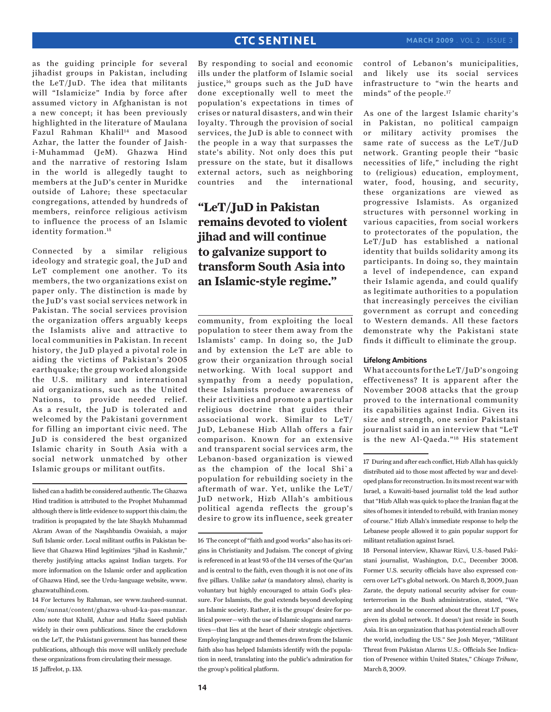as the guiding principle for several jihadist groups in Pakistan, including the LeT/JuD. The idea that militants will "Islamicize" India by force after assumed victory in Afghanistan is not a new concept; it has been previously highlighted in the literature of Maulana Fazul Rahman Khalil<sup>14</sup> and Masood Azhar, the latter the founder of Jaishi-Muhammad (JeM). Ghazwa Hind and the narrative of restoring Islam in the world is allegedly taught to members at the JuD's center in Muridke outside of Lahore; these spectacular congregations, attended by hundreds of members, reinforce religious activism to influence the process of an Islamic identity formation.<sup>15</sup>

Connected by a similar religious ideology and strategic goal, the JuD and LeT complement one another. To its members, the two organizations exist on paper only. The distinction is made by the JuD's vast social services network in Pakistan. The social services provision the organization offers arguably keeps the Islamists alive and attractive to local communities in Pakistan. In recent history, the JuD played a pivotal role in aiding the victims of Pakistan's 2005 earthquake; the group worked alongside the U.S. military and international aid organizations, such as the United Nations, to provide needed relief. As a result, the JuD is tolerated and welcomed by the Pakistani government for filling an important civic need. The JuD is considered the best organized Islamic charity in South Asia with a social network unmatched by other Islamic groups or militant outfits.

lished can a hadith be considered authentic. The Ghazwa Hind tradition is attributed to the Prophet Muhammad although there is little evidence to support this claim; the tradition is propagated by the late Shaykh Muhammad Akram Awan of the Naqshbandia Owaisiah, a major Sufi Islamic order. Local militant outfits in Pakistan believe that Ghazwa Hind legitimizes "jihad in Kashmir," thereby justifying attacks against Indian targets. For more information on the Islamic order and application of Ghazwa Hind, see the Urdu-language website, www. ghazwatulhind.com.

14 For lectures by Rahman, see www.tauheed-sunnat. com/sunnat/content/ghazwa-uhud-ka-pas-manzar. Also note that Khalil, Azhar and Hafiz Saeed publish widely in their own publications. Since the crackdown on the LeT, the Pakistani government has banned these publications, although this move will unlikely preclude these organizations from circulating their message. 15 Jaffrelot, p. 133.

By responding to social and economic ills under the platform of Islamic social justice,<sup>16</sup> groups such as the JuD have done exceptionally well to meet the population's expectations in times of crises or natural disasters, and win their loyalty. Through the provision of social services, the JuD is able to connect with the people in a way that surpasses the state's ability. Not only does this put pressure on the state, but it disallows external actors, such as neighboring countries and the international

# **"LeT/JuD in Pakistan remains devoted to violent jihad and will continue to galvanize support to transform South Asia into an Islamic-style regime."**

community, from exploiting the local population to steer them away from the Islamists' camp. In doing so, the JuD and by extension the LeT are able to grow their organization through social networking. With local support and sympathy from a needy population, these Islamists produce awareness of their activities and promote a particular religious doctrine that guides their associational work. Similar to LeT/ JuD, Lebanese Hizb Allah offers a fair comparison. Known for an extensive and transparent social services arm, the Lebanon-based organization is viewed as the champion of the local Shi`a population for rebuilding society in the aftermath of war. Yet, unlike the LeT/ JuD network, Hizb Allah's ambitious political agenda reflects the group's desire to grow its influence, seek greater control of Lebanon's municipalities, and likely use its social services infrastructure to "win the hearts and minds" of the people.17

As one of the largest Islamic charity's in Pakistan, no political campaign or military activity promises the same rate of success as the LeT/JuD network. Granting people their "basic necessities of life," including the right to (religious) education, employment, water, food, housing, and security, these organizations are viewed as progressive Islamists. As organized structures with personnel working in various capacities, from social workers to protectorates of the population, the LeT/JuD has established a national identity that builds solidarity among its participants. In doing so, they maintain a level of independence, can expand their Islamic agenda, and could qualify as legitimate authorities to a population that increasingly perceives the civilian government as corrupt and conceding to Western demands. All these factors demonstrate why the Pakistani state finds it difficult to eliminate the group.

### **Lifelong Ambitions**

What accounts for the LeT/JuD's ongoing effectiveness? It is apparent after the November 2008 attacks that the group proved to the international community its capabilities against India. Given its size and strength, one senior Pakistani journalist said in an interview that "LeT is the new Al-Qaeda."18 His statement

18 Personal interview, Khawar Rizvi, U.S.-based Pakistani journalist, Washington, D.C., December 2008. Former U.S. security officials have also expressed concern over LeT's global network. On March 8, 2009, Juan Zarate, the deputy national security adviser for counterterrorism in the Bush administration, stated, "We are and should be concerned about the threat LT poses, given its global network. It doesn't just reside in South Asia. It is an organization that has potential reach all over the world, including the US." See Josh Meyer, "Militant Threat from Pakistan Alarms U.S.: Officials See Indication of Presence within United States," *Chicago Tribune*, March 8, 2009.

<sup>16</sup> The concept of "faith and good works" also has its origins in Christianity and Judaism. The concept of giving is referenced in at least 93 of the 114 verses of the Qur'an and is central to the faith, even though it is not one of its five pillars. Unlike *zakat* (a mandatory alms), charity is voluntary but highly encouraged to attain God's pleasure. For Islamists, the goal extends beyond developing an Islamic society. Rather, it is the groups' desire for political power—with the use of Islamic slogans and narratives—that lies at the heart of their strategic objectives. Employing language and themes drawn from the Islamic faith also has helped Islamists identify with the population in need, translating into the public's admiration for the group's political platform.

<sup>17</sup> During and after each conflict, Hizb Allah has quickly distributed aid to those most affected by war and developed plans for reconstruction. In its most recent war with Israel, a Kuwaiti-based journalist told the lead author that "Hizb Allah was quick to place the Iranian flag at the sites of homes it intended to rebuild, with Iranian money of course." Hizb Allah's immediate response to help the Lebanese people allowed it to gain popular support for militant retaliation against Israel.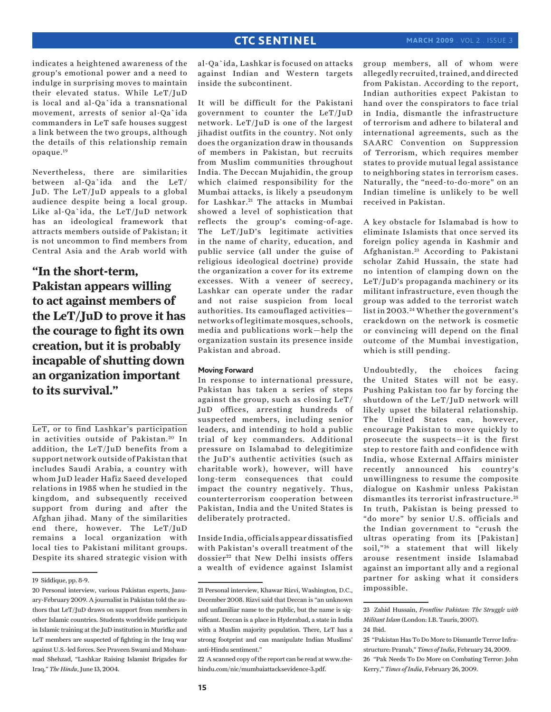indicates a heightened awareness of the group's emotional power and a need to indulge in surprising moves to maintain their elevated status. While LeT/JuD is local and al-Qa`ida a transnational movement, arrests of senior al-Qa`ida commanders in LeT safe houses suggest a link between the two groups, although the details of this relationship remain opaque.19

Nevertheless, there are similarities between al-Qa`ida and the LeT/ JuD. The LeT/JuD appeals to a global audience despite being a local group. Like al-Qa`ida, the LeT/JuD network has an ideological framework that attracts members outside of Pakistan; it is not uncommon to find members from Central Asia and the Arab world with

**"In the short-term, Pakistan appears willing to act against members of the LeT/JuD to prove it has the courage to fight its own creation, but it is probably incapable of shutting down an organization important to its survival."**

LeT, or to find Lashkar's participation in activities outside of Pakistan.<sup>20</sup> In addition, the LeT/JuD benefits from a support network outside of Pakistan that includes Saudi Arabia, a country with whom JuD leader Hafiz Saeed developed relations in 1985 when he studied in the kingdom, and subsequently received support from during and after the Afghan jihad. Many of the similarities end there, however. The LeT/JuD remains a local organization with local ties to Pakistani militant groups. Despite its shared strategic vision with

al-Qa`ida, Lashkar is focused on attacks against Indian and Western targets inside the subcontinent.

It will be difficult for the Pakistani government to counter the LeT/JuD network. LeT/JuD is one of the largest jihadist outfits in the country. Not only does the organization draw in thousands of members in Pakistan, but recruits from Muslim communities throughout India. The Deccan Mujahidin, the group which claimed responsibility for the Mumbai attacks, is likely a pseudonym for Lashkar.<sup>21</sup> The attacks in Mumbai showed a level of sophistication that reflects the group's coming-of-age. The LeT/JuD's legitimate activities in the name of charity, education, and public service (all under the guise of religious ideological doctrine) provide the organization a cover for its extreme excesses. With a veneer of secrecy, Lashkar can operate under the radar and not raise suspicion from local authorities. Its camouflaged activities networks of legitimate mosques, schools, media and publications work—help the organization sustain its presence inside Pakistan and abroad.

### **Moving Forward**

In response to international pressure, Pakistan has taken a series of steps against the group, such as closing LeT/ JuD offices, arresting hundreds of suspected members, including senior leaders, and intending to hold a public trial of key commanders. Additional pressure on Islamabad to delegitimize the JuD's authentic activities (such as charitable work), however, will have long-term consequences that could impact the country negatively. Thus, counterterrorism cooperation between Pakistan, India and the United States is deliberately protracted.

Inside India, officials appear dissatisfied with Pakistan's overall treatment of the dossier<sup>22</sup> that New Delhi insists offers a wealth of evidence against Islamist group members, all of whom were allegedly recruited, trained, and directed from Pakistan. According to the report, Indian authorities expect Pakistan to hand over the conspirators to face trial in India, dismantle the infrastructure of terrorism and adhere to bilateral and international agreements, such as the SAARC Convention on Suppression of Terrorism, which requires member states to provide mutual legal assistance to neighboring states in terrorism cases. Naturally, the "need-to-do-more" on an Indian timeline is unlikely to be well received in Pakistan.

A key obstacle for Islamabad is how to eliminate Islamists that once served its foreign policy agenda in Kashmir and Afghanistan.<sup>23</sup> According to Pakistani scholar Zahid Hussain, the state had no intention of clamping down on the LeT/JuD's propaganda machinery or its militant infrastructure, even though the group was added to the terrorist watch list in 2003. 24 Whether the government's crackdown on the network is cosmetic or convincing will depend on the final outcome of the Mumbai investigation, which is still pending.

Undoubtedly, the choices facing the United States will not be easy. Pushing Pakistan too far by forcing the shutdown of the LeT/JuD network will likely upset the bilateral relationship. The United States can, however, encourage Pakistan to move quickly to prosecute the suspects—it is the first step to restore faith and confidence with India, whose External Affairs minister recently announced his country's unwillingness to resume the composite dialogue on Kashmir unless Pakistan dismantles its terrorist infrastructure. <sup>25</sup> In truth, Pakistan is being pressed to "do more" by senior U.S. officials and the Indian government to "crush the ultras operating from its [Pakistan] soil,"<sup>26</sup> a statement that will likely arouse resentment inside Islamabad against an important ally and a regional partner for asking what it considers impossible.

<sup>19</sup> Siddique, pp. 8-9.

<sup>20</sup> Personal interview, various Pakistan experts, January-February 2009. A journalist in Pakistan told the authors that LeT/JuD draws on support from members in other Islamic countries. Students worldwide participate in Islamic training at the JuD institution in Muridke and LeT members are suspected of fighting in the Iraq war against U.S.-led forces. See Praveen Swami and Mohammad Shehzad, "Lashkar Raising Islamist Brigades for Iraq," *The Hindu*, June 13, 2004.

<sup>21</sup> Personal interview, Khawar Rizvi, Washington, D.C., December 2008. Rizvi said that Deccan is "an unknown and unfamiliar name to the public, but the name is significant. Deccan is a place in Hyderabad, a state in India with a Muslim majority population. There, LeT has a strong footprint and can manipulate Indian Muslims' anti-Hindu sentiment."

<sup>22</sup> A scanned copy of the report can be read at www.thehindu.com/nic/mumbaiattacksevidence-3.pdf.

<sup>23</sup> Zahid Hussain, *Frontline Pakistan: The Struggle with Militant Islam* (London: I.B. Tauris, 2007).

<sup>24</sup> Ibid.

<sup>25 &</sup>quot;Pakistan Has To Do More to Dismantle Terror Infrastructure: Pranab," *Times of India*, February 24, 2009. 26 "Pak Needs To Do More on Combating Terror: John Kerry," *Times of India*, February 26, 2009.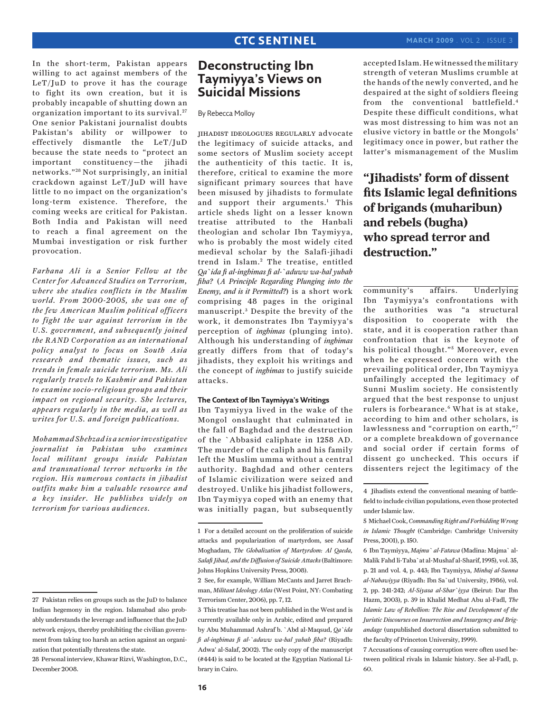In the short-term, Pakistan appears willing to act against members of the LeT/JuD to prove it has the courage to fight its own creation, but it is probably incapable of shutting down an organization important to its survival.<sup>27</sup> One senior Pakistani journalist doubts Pakistan's ability or willpower to effectively dismantle the LeT/JuD because the state needs to "protect an important constituency—the jihadi networks." 28 Not surprisingly, an initial crackdown against LeT/JuD will have little to no impact on the organization's long-term existence. Therefore, the coming weeks are critical for Pakistan. Both India and Pakistan will need to reach a final agreement on the Mumbai investigation or risk further provocation.

*Farhana Ali is a Senior Fellow at the Center for Advanced Studies on Terrorism, where she studies conflicts in the Muslim world. From 2000-2005, she was one of the few American Muslim political officers to fight the war against terrorism in the U.S. government, and subsequently joined the RAND Corporation as an international policy analyst to focus on South Asia research and thematic issues, such as trends in female suicide terrorism. Ms. Ali regularly travels to Kashmir and Pakistan to examine socio-religious groups and their impact on regional security. She lectures, appears regularly in the media, as well as writes for U.S. and foreign publications.* 

*Mohammad Shehzad is a senior investigative journalist in Pakistan who examines local militant groups inside Pakistan and transnational terror networks in the region. His numerous contacts in jihadist outfits make him a valuable resource and a key insider. He publishes widely on terrorism for various audiences.*

# **Deconstructing Ibn Taymiyya's Views on Suicidal Missions**

By Rebecca Molloy

jihadist ideologues regularly advocate the legitimacy of suicide attacks, and some sectors of Muslim society accept the authenticity of this tactic. It is, therefore, critical to examine the more significant primary sources that have been misused by jihadists to formulate and support their arguments.<sup>1</sup> This article sheds light on a lesser known treatise attributed to the Hanbali theologian and scholar Ibn Taymiyya, who is probably the most widely cited medieval scholar by the Salafi-jihadi trend in Islam.<sup>2</sup> The treatise, entitled *Qa`ida fi al-inghimas fi al-`aduww wa-hal yubah fiha?* (*A Principle Regarding Plunging into the Enemy, and is it Permitted?*) is a short work comprising 48 pages in the original manuscript.<sup>3</sup> Despite the brevity of the work, it demonstrates Ibn Taymiyya's perception of *inghimas* (plunging into). Although his understanding of *inghimas* greatly differs from that of today's jihadists, they exploit his writings and the concept of *inghimas* to justify suicide attacks.

### **The Context of Ibn Taymiyya's Writings**

Ibn Taymiyya lived in the wake of the Mongol onslaught that culminated in the fall of Baghdad and the destruction of the `Abbasid caliphate in 1258 AD. The murder of the caliph and his family left the Muslim umma without a central authority. Baghdad and other centers of Islamic civilization were seized and destroyed. Unlike his jihadist followers, Ibn Taymiyya coped with an enemy that was initially pagan, but subsequently

2 See, for example, William McCants and Jarret Brachman, *Militant Ideology Atlas* (West Point, NY: Combating Terrorism Center, 2006), pp. 7, 12.

accepted Islam. He witnessed the military strength of veteran Muslims crumble at the hands of the newly converted, and he despaired at the sight of soldiers fleeing from the conventional battlefield.4 Despite these difficult conditions, what was most distressing to him was not an elusive victory in battle or the Mongols' legitimacy once in power, but rather the latter's mismanagement of the Muslim

# **"Jihadists' form of dissent fits Islamic legal definitions of brigands (muharibun) and rebels (bugha) who spread terror and destruction."**

community's affairs. Underlying Ibn Taymiyya's confrontations with the authorities was "a structural disposition to cooperate with the state, and it is cooperation rather than confrontation that is the keynote of his political thought."<sup>5</sup> Moreover, even when he expressed concern with the prevailing political order, Ibn Taymiyya unfailingly accepted the legitimacy of Sunni Muslim society. He consistently argued that the best response to unjust rulers is forbearance.<sup>6</sup> What is at stake, according to him and other scholars, is lawlessness and "corruption on earth,"7 or a complete breakdown of governance and social order if certain forms of dissent go unchecked. This occurs if dissenters reject the legitimacy of the

<sup>27</sup> Pakistan relies on groups such as the JuD to balance Indian hegemony in the region. Islamabad also probably understands the leverage and influence that the JuD network enjoys, thereby prohibiting the civilian government from taking too harsh an action against an organization that potentially threatens the state.

<sup>28</sup> Personal interview, Khawar Rizvi, Washington, D.C., December 2008.

<sup>1</sup> For a detailed account on the proliferation of suicide attacks and popularization of martyrdom, see Assaf Moghadam, *The Globalization of Martyrdom: Al Qaeda, Salafi Jihad, and the Diffusion of Suicide Attacks* (Baltimore: Johns Hopkins University Press, 2008).

<sup>3</sup> This treatise has not been published in the West and is currently available only in Arabic, edited and prepared by Abu Muhammad Ashraf b. `Abd al-Maqsud, *Qa`ida fi al-inghimas fi al-`aduww wa-hal yubah fiha?* (Riyadh: Adwa' al-Salaf, 2002). The only copy of the manuscript (#444) is said to be located at the Egyptian National Library in Cairo.

<sup>4</sup> Jihadists extend the conventional meaning of battlefield to include civilian populations, even those protected under Islamic law.

<sup>5</sup> Michael Cook, *Commanding Right and Forbidding Wrong in Islamic Thought* (Cambridge: Cambridge University Press, 2001), p. 150.

<sup>6</sup> Ibn Taymiyya, *Majmu` al-Fatawa* (Madina: Majma` al-Malik Fahd li-Taba`at al-Mushaf al-Sharif, 1995), vol. 35, p. 21 and vol. 4, p. 443; Ibn Taymiyya, *Minhaj al-Sunna al-Nabawiyya* (Riyadh: Ibn Sa`ud University, 1986), vol. 2, pp. 241-242; *Al-Siyasa al-Shar`iyya* (Beirut: Dar Ibn Hazm, 2003), p. 39 in Khalid Medhat Abu al-Fadl, *The Islamic Law of Rebellion: The Rise and Development of the Juristic Discourses on Insurrection and Insurgency and Brigandage* (unpublished doctoral dissertation submitted to the faculty of Princeton University, 1999).

<sup>7</sup> Accusations of causing corruption were often used between political rivals in Islamic history. See al-Fadl, p. 60.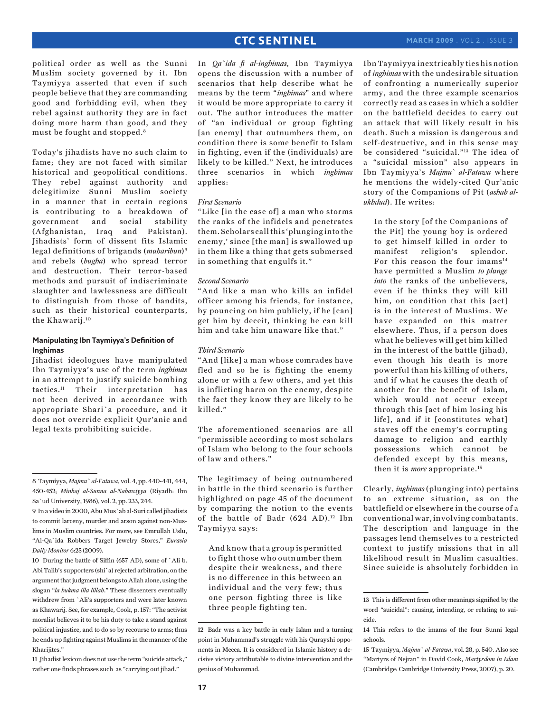political order as well as the Sunni Muslim society governed by it. Ibn Taymiyya asserted that even if such people believe that they are commanding good and forbidding evil, when they rebel against authority they are in fact doing more harm than good, and they must be fought and stopped.8

Today's jihadists have no such claim to fame; they are not faced with similar historical and geopolitical conditions. They rebel against authority and delegitimize Sunni Muslim society in a manner that in certain regions is contributing to a breakdown of government and social stability (Afghanistan, Iraq and Pakistan). Jihadists' form of dissent fits Islamic legal definitions of brigands (*muharibun*)9 and rebels (*bugha*) who spread terror and destruction. Their terror-based methods and pursuit of indiscriminate slaughter and lawlessness are difficult to distinguish from those of bandits, such as their historical counterparts, the Khawarij.10

### **Manipulating Ibn Taymiyya's Definition of Inghimas**

Jihadist ideologues have manipulated Ibn Taymiyya's use of the term *inghimas* in an attempt to justify suicide bombing tactics.11 Their interpretation has not been derived in accordance with appropriate Shari`a procedure, and it does not override explicit Qur'anic and legal texts prohibiting suicide.

10 During the battle of Siffin (657 AD), some of `Ali b. Abi Talib's supporters (shi`a) rejected arbitration, on the argument that judgment belongs to Allah alone, using the slogan "*la hukma illa lillah*." These dissenters eventually withdrew from `Ali's supporters and were later known as Khawarij. See, for example, Cook, p. 157: "The activist moralist believes it to be his duty to take a stand against political injustice, and to do so by recourse to arms; thus he ends up fighting against Muslims in the manner of the Kharijites."

11 Jihadist lexicon does not use the term "suicide attack," rather one finds phrases such as "carrying out jihad."

In *Qa`ida fi al-inghimas*, Ibn Taymiyya opens the discussion with a number of scenarios that help describe what he means by the term "*inghimas*" and where it would be more appropriate to carry it out. The author introduces the matter of "an individual or group fighting [an enemy] that outnumbers them, on condition there is some benefit to Islam in fighting, even if the (individuals) are likely to be killed." Next, he introduces three scenarios in which *inghimas* applies:

### *First Scenario*

"Like [in the case of] a man who storms the ranks of the infidels and penetrates them. Scholars call this 'plunging into the enemy,' since [the man] is swallowed up in them like a thing that gets submersed in something that engulfs it."

### *Second Scenario*

"And like a man who kills an infidel officer among his friends, for instance, by pouncing on him publicly, if he [can] get him by deceit, thinking he can kill him and take him unaware like that."

### *Third Scenario*

"And [like] a man whose comrades have fled and so he is fighting the enemy alone or with a few others, and yet this is inflicting harm on the enemy, despite the fact they know they are likely to be killed."

The aforementioned scenarios are all "permissible according to most scholars of Islam who belong to the four schools of law and others."

The legitimacy of being outnumbered in battle in the third scenario is further highlighted on page 45 of the document by comparing the notion to the events of the battle of Badr (624 AD).<sup>12</sup> Ibn Taymiyya says:

And know that a group is permitted to fight those who outnumber them despite their weakness, and there is no difference in this between an individual and the very few; thus one person fighting three is like three people fighting ten.

Ibn Taymiyya inextricably ties his notion of *inghimas* with the undesirable situation of confronting a numerically superior army, and the three example scenarios correctly read as cases in which a soldier on the battlefield decides to carry out an attack that will likely result in his death. Such a mission is dangerous and self-destructive, and in this sense may be considered "suicidal."13 The idea of a "suicidal mission" also appears in Ibn Taymiyya's *Majmu` al-Fatawa* where he mentions the widely-cited Qur'anic story of the Companions of Pit (*ashab alukhdud*). He writes:

In the story [of the Companions of the Pit] the young boy is ordered to get himself killed in order to manifest religion's splendor. For this reason the four imams<sup>14</sup> have permitted a Muslim *to plunge into* the ranks of the unbelievers, even if he thinks they will kill him, on condition that this [act] is in the interest of Muslims. We have expanded on this matter elsewhere. Thus, if a person does what he believes will get him killed in the interest of the battle (jihad), even though his death is more powerful than his killing of others, and if what he causes the death of another for the benefit of Islam, which would not occur except through this [act of him losing his life], and if it [constitutes what] staves off the enemy's corrupting damage to religion and earthly possessions which cannot be defended except by this means, then it is *more* appropriate.15

Clearly, *inghimas* (plunging into) pertains to an extreme situation, as on the battlefield or elsewhere in the course of a conventional war, involving combatants. The description and language in the passages lend themselves to a restricted context to justify missions that in all likelihood result in Muslim casualties. Since suicide is absolutely forbidden in

<sup>8</sup> Taymiyya, *Majmu` al-Fatawa*, vol. 4, pp. 440-441, 444, 450-452; *Minhaj al-Sunna al-Nabawiyya* (Riyadh: Ibn Sa`ud University, 1986), vol. 2, pp. 233, 244.

<sup>9</sup> In a video in 2000, Abu Mus`ab al-Suri called jihadists to commit larceny, murder and arson against non-Muslims in Muslim countries. For more, see Emrullah Uslu, "Al-Qa`ida Robbers Target Jewelry Stores," *Eurasia Daily Monitor* 6:25 (2009).

<sup>12</sup> Badr was a key battle in early Islam and a turning point in Muhammad's struggle with his Qurayshi opponents in Mecca. It is considered in Islamic history a decisive victory attributable to divine intervention and the genius of Muhammad.

<sup>13</sup> This is different from other meanings signified by the word "suicidal": causing, intending, or relating to suicide.

<sup>14</sup> This refers to the imams of the four Sunni legal schools.

<sup>15</sup> Taymiyya, *Majmu` al-Fatawa*, vol. 28, p. 540. Also see "Martyrs of Nejran" in David Cook, *Martyrdom in Islam* (Cambridge: Cambridge University Press, 2007), p. 20.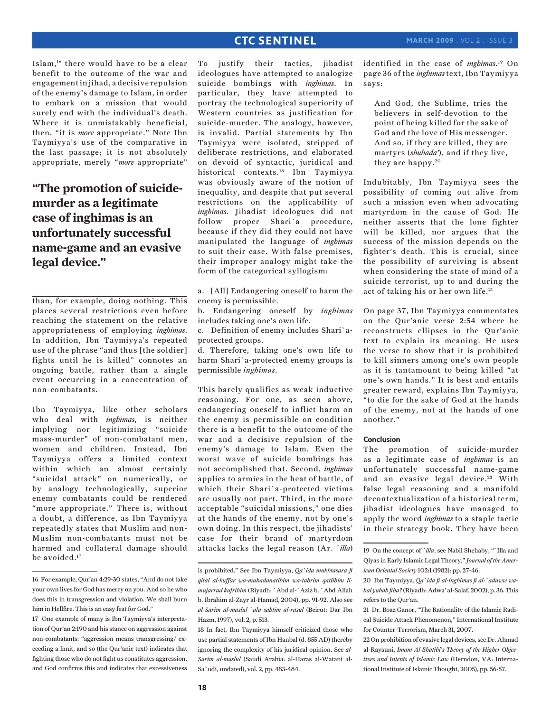Islam,16 there would have to be a clear benefit to the outcome of the war and engagement in jihad, a decisive repulsion of the enemy's damage to Islam, in order to embark on a mission that would surely end with the individual's death. Where it is unmistakably beneficial, then, "it is *more* appropriate." Note Ibn Taymiyya's use of the comparative in the last passage; it is not absolutely appropriate, merely "*more* appropriate"

# **"The promotion of suicidemurder as a legitimate case of inghimas is an unfortunately successful name-game and an evasive legal device."**

than, for example, doing nothing. This places several restrictions even before reaching the statement on the relative appropriateness of employing *inghimas*. In addition, Ibn Taymiyya's repeated use of the phrase "and thus [the soldier] fights until he is killed" connotes an ongoing battle, rather than a single event occurring in a concentration of non-combatants.

Ibn Taymiyya, like other scholars who deal with *inghimas*, is neither implying nor legitimizing "suicide mass-murder" of non-combatant men, women and children. Instead, Ibn Taymiyya offers a limited context within which an almost certainly "suicidal attack" on numerically, or by analogy technologically, superior enemy combatants could be rendered "more appropriate." There is, without a doubt, a difference, as Ibn Taymiyya repeatedly states that Muslim and non-Muslim non-combatants must not be harmed and collateral damage should be avoided.17

To justify their tactics, jihadist ideologues have attempted to analogize suicide bombings with *inghimas*. In particular, they have attempted to portray the technological superiority of Western countries as justification for suicide-murder. The analogy, however, is invalid. Partial statements by Ibn Taymiyya were isolated, stripped of deliberate restrictions, and elaborated on devoid of syntactic, juridical and historical contexts.18 Ibn Taymiyya was obviously aware of the notion of inequality, and despite that put several restrictions on the applicability of *inghimas*. Jihadist ideologues did not follow proper Shari`a procedure, because if they did they could not have manipulated the language of *inghimas* to suit their case. With false premises, their improper analogy might take the form of the categorical syllogism:

a. [All] Endangering oneself to harm the enemy is permissible.

b. Endangering oneself by *inghimas* includes taking one's own life.

c. Definition of enemy includes Shari`aprotected groups.

d. Therefore, taking one's own life to harm Shari`a-protected enemy groups is permissible *inghimas*.

This barely qualifies as weak inductive reasoning. For one, as seen above, endangering oneself to inflict harm on the enemy is permissible on condition there is a benefit to the outcome of the war and a decisive repulsion of the enemy's damage to Islam. Even the worst wave of suicide bombings has not accomplished that. Second, *inghimas* applies to armies in the heat of battle, of which their Shari`a-protected victims are usually not part. Third, in the more acceptable "suicidal missions," one dies at the hands of the enemy, not by one's own doing. In this respect, the jihadists' case for their brand of martyrdom attacks lacks the legal reason (Ar. *`illa*)

is prohibited." See Ibn Taymiyya, *Qa`ida mukhtasara fi qital al-kuffar wa-muhadanatihim wa-tahrim qatlihim limujarrad kufrihim* (Riyadh: `Abd al-`Aziz b. `Abd Allah b. Ibrahim al-Zayr al-Hamad, 2004), pp. 91-92. Also see *al-Sarim al-maslul `ala sahtim al-rasul* (Beirut: Dar Ibn Hazm, 1997), vol. 2, p. 513.

18 In fact, Ibn Taymiyya himself criticized those who use partial statements of Ibn Hanbal (d. 855 AD) thereby ignoring the complexity of his juridical opinion. See *al-Sarim al-maslul* (Saudi Arabia: al-Haras al-Watani al-Sa`udi, undated), vol. 2, pp. 483-484.

identified in the case of *inghimas*.19 On page 36 of the *inghimas*text, Ibn Taymiyya says:

And God, the Sublime, tries the believers in self-devotion to the point of being killed for the sake of God and the love of His messenger. And so, if they are killed, they are martyrs (*shuhada'*), and if they live, they are happy.<sup>20</sup>

Indubitably, Ibn Taymiyya sees the possibility of coming out alive from such a mission even when advocating martyrdom in the cause of God. He neither asserts that the lone fighter will be killed, nor argues that the success of the mission depends on the fighter's death. This is crucial, since the possibility of surviving is absent when considering the state of mind of a suicide terrorist, up to and during the act of taking his or her own life.<sup>21</sup>

On page 37, Ibn Taymiyya commentates on the Qur'anic verse 2:54 where he reconstructs ellipses in the Qur'anic text to explain its meaning. He uses the verse to show that it is prohibited to kill sinners among one's own people as it is tantamount to being killed "at one's own hands." It is best and entails greater reward, explains Ibn Taymiyya, "to die for the sake of God at the hands of the enemy, not at the hands of one another."

### **Conclusion**

The promotion of suicide-murder as a legitimate case of *inghimas* is an unfortunately successful name-game and an evasive legal device.<sup>22</sup> With false legal reasoning and a manifold decontextualization of a historical term, jihadist ideologues have managed to apply the word *inghimas* to a staple tactic in their strategy book. They have been

<sup>16</sup> For example, Qur'an 4:29-30 states, "And do not take your own lives for God has mercy on you. And so he who does this in transgression and violation. We shall burn him in Hellfire. This is an easy feat for God."

<sup>17</sup> One example of many is Ibn Taymiyya's interpretation of Qur'an 2:190 and his stance on aggression against non-combatants: "aggression means transgressing/ exceeding a limit, and so (the Qur'anic text) indicates that fighting those who do not fight us constitutes aggression, and God confirms this and indicates that excessiveness

<sup>19</sup> On the concept of *`illa*, see Nabil Shehaby, "`Illa and Qiyas in Early Islamic Legal Theory," *Journal of the American Oriental Society* 102:1 (1982): pp. 27-46.

<sup>20</sup> Ibn Taymiyya, *Qa`ida fi al-inghimas fi al-`aduww wahal yubah fiha?* (Riyadh: Adwa' al-Salaf, 2002), p. 36. This refers to the Qur'an.

<sup>21</sup> Dr. Boaz Ganor, "The Rationality of the Islamic Radical Suicide Attack Phenomenon," International Institute for Counter-Terrorism, March 31, 2007.

<sup>22</sup> On prohibition of evasive legal devices, see Dr. Ahmad al-Raysuni, *Imam Al-Shatibi's Theory of the Higher Objectives and Intents of Islamic Law* (Herndon, VA: International Institute of Islamic Thought, 2005), pp. 56-57.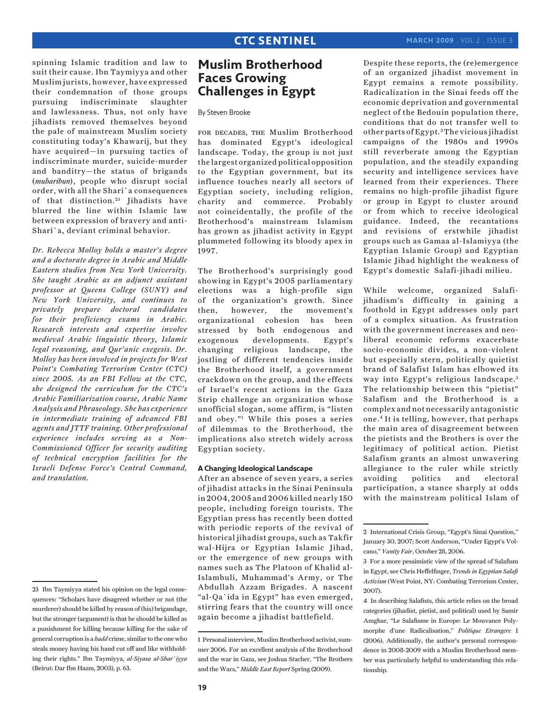spinning Islamic tradition and law to suit their cause. Ibn Taymiyya and other Muslim jurists, however, have expressed their condemnation of those groups pursuing indiscriminate slaughter and lawlessness. Thus, not only have jihadists removed themselves beyond the pale of mainstream Muslim society constituting today's Khawarij, but they have acquired—in pursuing tactics of indiscriminate murder, suicide-murder and banditry—the status of brigands (*muharibun*), people who disrupt social order, with all the Shari`a consequences of that distinction.<sup>23</sup> Jihadists have blurred the line within Islamic law between expression of bravery and anti-Shari`a, deviant criminal behavior.

*Dr. Rebecca Molloy holds a master's degree and a doctorate degree in Arabic and Middle Eastern studies from New York University. She taught Arabic as an adjunct assistant professor at Queens College (SUNY) and New York University, and continues to privately prepare doctoral candidates for their proficiency exams in Arabic. Research interests and expertise involve medieval Arabic linguistic theory, Islamic legal reasoning, and Qur'anic exegesis. Dr. Molloy has been involved in projects for West Point's Combating Terrorism Center (CTC) since 2005. As an FBI Fellow at the CTC, she designed the curriculum for the CTC's Arabic Familiarization course, Arabic Name Analysis and Phraseology. She has experience in intermediate training of advanced FBI agents and JTTF training. Other professional experience includes serving as a Non-Commissioned Officer for security auditing of technical encryption facilities for the Israeli Defense Force's Central Command, and translation.*

# **Muslim Brotherhood Faces Growing Challenges in Egypt**

By Steven Brooke

FOR DECADES, THE Muslim Brotherhood has dominated Egypt's ideological landscape. Today, the group is not just the largest organized political opposition to the Egyptian government, but its influence touches nearly all sectors of Egyptian society, including religion, charity and commerce. Probably not coincidentally, the profile of the Brotherhood's mainstream Islamism has grown as jihadist activity in Egypt plummeted following its bloody apex in 1997.

The Brotherhood's surprisingly good showing in Egypt's 2005 parliamentary elections was a high-profile sign of the organization's growth. Since then, however, the movement's organizational cohesion has been stressed by both endogenous and exogenous developments. Egypt's changing religious landscape, the jostling of different tendencies inside the Brotherhood itself, a government crackdown on the group, and the effects of Israel's recent actions in the Gaza Strip challenge an organization whose unofficial slogan, some affirm, is "listen and obey."1 While this poses a series of dilemmas to the Brotherhood, the implications also stretch widely across Egyptian society.

### **A Changing Ideological Landscape**

After an absence of seven years, a series of jihadist attacks in the Sinai Peninsula in 2004, 2005 and 2006 killed nearly 150 people, including foreign tourists. The Egyptian press has recently been dotted with periodic reports of the revival of historical jihadist groups, such as Takfir wal-Hijra or Egyptian Islamic Jihad, or the emergence of new groups with names such as The Platoon of Khalid al-Islambuli, Muhammad's Army, or The Abdullah Azzam Brigades. A nascent "al-Qa`ida in Egypt" has even emerged, stirring fears that the country will once again become a jihadist battlefield.

Despite these reports, the (re)emergence of an organized jihadist movement in Egypt remains a remote possibility. Radicalization in the Sinai feeds off the economic deprivation and governmental neglect of the Bedouin population there, conditions that do not transfer well to other parts of Egypt. 2 The vicious jihadist campaigns of the 1980s and 1990s still reverberate among the Egyptian population, and the steadily expanding security and intelligence services have learned from their experiences. There remains no high-profile jihadist figure or group in Egypt to cluster around or from which to receive ideological guidance. Indeed, the recantations and revisions of erstwhile jihadist groups such as Gamaa al-Islamiyya (the Egyptian Islamic Group) and Egyptian Islamic Jihad highlight the weakness of Egypt's domestic Salafi-jihadi milieu.

While welcome, organized Salafijihadism's difficulty in gaining a foothold in Egypt addresses only part of a complex situation. As frustration with the government increases and neoliberal economic reforms exacerbate socio-economic divides, a non-violent but especially stern, politically quietist brand of Salafist Islam has elbowed its way into Egypt's religious landscape.<sup>3</sup> The relationship between this "pietist" Salafism and the Brotherhood is a complex and not necessarily antagonistic one.4 It is telling, however, that perhaps the main area of disagreement between the pietists and the Brothers is over the legitimacy of political action. Pietist Salafism grants an almost unwavering allegiance to the ruler while strictly avoiding politics and electoral participation, a stance sharply at odds with the mainstream political Islam of

<sup>23</sup> Ibn Taymiyya stated his opinion on the legal consequences: "Scholars have disagreed whether or not (the murderer) should be killed by reason of (his) brigandage, but the stronger (argument) is that he should be killed as a punishment for killing because killing for the sake of general corruption is a *hadd* crime, similar to the one who steals money having his hand cut off and like withholding their rights." Ibn Taymiyya, *al-Siyasa al-Shar`iyya*  (Beirut: Dar Ibn Hazm, 2003), p. 63.

<sup>1</sup> Personal interview, Muslim Brotherhood activist, summer 2006. For an excellent analysis of the Brotherhood and the war in Gaza, see Joshua Stacher, "The Brothers and the Wars," *Middle East Report* Spring (2009).

<sup>2</sup> International Crisis Group, "Egypt's Sinai Question," January 30, 2007; Scott Anderson, "Under Egypt's Volcano," *Vanity Fair*, October 28, 2006.

<sup>3</sup> For a more pessimistic view of the spread of Salafism in Egypt, see Chris Heffelfinger, *Trends in Egyptian Salafi Activism* (West Point, NY: Combating Terrorism Center, 2007).

<sup>4</sup> In describing Salafists, this article relies on the broad categories (jihadist, pietist, and political) used by Samir Amghar, "Le Salafisme in Europe: Le Mouvance Polymorphe d'une Radicalisation," *Politique Etrangere* 1 (2006). Additionally, the author's personal correspondence in 2008-2009 with a Muslim Brotherhood member was particularly helpful to understanding this relationship.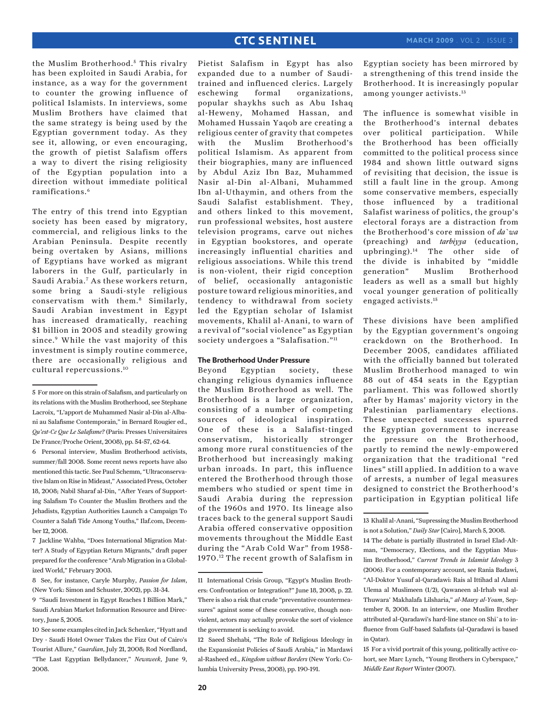the Muslim Brotherhood.<sup>5</sup> This rivalry has been exploited in Saudi Arabia, for instance, as a way for the government to counter the growing influence of political Islamists. In interviews, some Muslim Brothers have claimed that the same strategy is being used by the Egyptian government today. As they see it, allowing, or even encouraging, the growth of pietist Salafism offers a way to divert the rising religiosity of the Egyptian population into a direction without immediate political ramifications.6

The entry of this trend into Egyptian society has been eased by migratory, commercial, and religious links to the Arabian Peninsula. Despite recently being overtaken by Asians, millions of Egyptians have worked as migrant laborers in the Gulf, particularly in Saudi Arabia.7 As these workers return, some bring a Saudi-style religious conservatism with them.8 Similarly, Saudi Arabian investment in Egypt has increased dramatically, reaching \$1 billion in 2005 and steadily growing since.9 While the vast majority of this investment is simply routine commerce, there are occasionally religious and cultural repercussions.10

6 Personal interview, Muslim Brotherhood activists, summer/fall 2008. Some recent news reports have also mentioned this tactic. See Paul Schemm, "Ultraconservative Islam on Rise in Mideast," Associated Press, October 18, 2008; Nabil Sharaf al-Din, "After Years of Supporting Salafism To Counter the Muslim Brothers and the Jehadists, Egyptian Authorities Launch a Campaign To Counter a Salafi Tide Among Youths," Ilaf.com, December 12, 2008.

7 Jackline Wahba, "Does International Migration Matter? A Study of Egyptian Return Migrants," draft paper prepared for the conference "Arab Migration in a Globalized World," February 2003.

8 See, for instance, Caryle Murphy, *Passion for Islam*, (New York: Simon and Schuster, 2002), pp. 31-34.

Pietist Salafism in Egypt has also expanded due to a number of Sauditrained and influenced clerics. Largely eschewing formal organizations, popular shaykhs such as Abu Ishaq al-Heweny, Mohamed Hassan, and Mohamed Hussain Yaqob are creating a religious center of gravity that competes with the Muslim Brotherhood's political Islamism. As apparent from their biographies, many are influenced by Abdul Aziz Ibn Baz, Muhammed Nasir al-Din al-Albani, Muhammed Ibn al-Uthaymin, and others from the Saudi Salafist establishment. They, and others linked to this movement, run professional websites, host austere television programs, carve out niches in Egyptian bookstores, and operate increasingly influential charities and religious associations. While this trend is non-violent, their rigid conception of belief, occasionally antagonistic posture toward religious minorities, and tendency to withdrawal from society led the Egyptian scholar of Islamist movements, Khalil al-Anani, to warn of a revival of "social violence" as Egyptian society undergoes a "Salafisation."<sup>11</sup>

### **The Brotherhood Under Pressure**

Beyond Egyptian society, these changing religious dynamics influence the Muslim Brotherhood as well. The Brotherhood is a large organization, consisting of a number of competing sources of ideological inspiration. One of these is a Salafist-tinged conservatism, historically stronger among more rural constituencies of the Brotherhood but increasingly making urban inroads. In part, this influence entered the Brotherhood through those members who studied or spent time in Saudi Arabia during the repression of the 1960s and 1970. Its lineage also traces back to the general support Saudi Arabia offered conservative opposition movements throughout the Middle East during the "Arab Cold War" from 1958- 1970.12 The recent growth of Salafism in Egyptian society has been mirrored by a strengthening of this trend inside the Brotherhood. It is increasingly popular among younger activists.13

The influence is somewhat visible in the Brotherhood's internal debates over political participation. While the Brotherhood has been officially committed to the political process since 1984 and shown little outward signs of revisiting that decision, the issue is still a fault line in the group. Among some conservative members, especially those influenced by a traditional Salafist wariness of politics, the group's electoral forays are a distraction from the Brotherhood's core mission of *da`wa* (preaching) and *tarbiyya* (education, upbringing).14 The other side of the divide is inhabited by "middle generation" Muslim Brotherhood leaders as well as a small but highly vocal younger generation of politically engaged activists.15

These divisions have been amplified by the Egyptian government's ongoing crackdown on the Brotherhood. In December 2005, candidates affiliated with the officially banned but tolerated Muslim Brotherhood managed to win 88 out of 454 seats in the Egyptian parliament. This was followed shortly after by Hamas' majority victory in the Palestinian parliamentary elections. These unexpected successes spurred the Egyptian government to increase the pressure on the Brotherhood, partly to remind the newly-empowered organization that the traditional "red lines" still applied. In addition to a wave of arrests, a number of legal measures designed to constrict the Brotherhood's participation in Egyptian political life

15 For a vivid portrait of this young, politically active cohort, see Marc Lynch, "Young Brothers in Cyberspace," *Middle East Report* Winter (2007).

<sup>5</sup> For more on this strain of Salafism, and particularly on its relations with the Muslim Brotherhood, see Stephane Lacroix, "L'apport de Muhammed Nasir al-Din al-Albani au Salafisme Contemporain," in Bernard Rougier ed., *Qu'est-Ce Que Le Salafisme?* (Paris: Presses Universitaires De France/Proche Orient, 2008), pp. 54-57, 62-64.

<sup>9 &</sup>quot;Saudi Investment in Egypt Reaches 1 Billion Mark," Saudi Arabian Market Information Resource and Directory, June 5, 2005.

<sup>10</sup> See some examples cited in Jack Schenker, "Hyatt and Dry - Saudi Hotel Owner Takes the Fizz Out of Cairo's Tourist Allure," *Guardian*, July 21, 2008; Rod Nordland, "The Last Egyptian Bellydancer," *Newsweek*, June 9, 2008.

<sup>11</sup> International Crisis Group, "Egypt's Muslim Brothers: Confrontation or Integration?" June 18, 2008, p. 22. There is also a risk that crude "preventative countermeasures" against some of these conservative, though nonviolent, actors may actually provoke the sort of violence the government is seeking to avoid.

<sup>12</sup> Saeed Shehabi, "The Role of Religious Ideology in the Expansionist Policies of Saudi Arabia," in Mardawi al-Rasheed ed., *Kingdom without Borders* (New York: Columbia University Press, 2008), pp. 190-191.

<sup>13</sup> Khalil al-Anani, "Supressing the Muslim Brotherhood is not a Solution," *Daily Star* [Cairo], March 5, 2008.

<sup>14</sup> The debate is partially illustrated in Israel Elad-Altman, "Democracy, Elections, and the Egyptian Muslim Brotherhood," *Current Trends in Islamist Ideology* 3 (2006). For a contemporary account, see Rania Badawi, "Al-Doktor Yusuf al-Qaradawi: Rais al Ittihad al Alami Ulema al Muslimeen (1/2), Qawaneen al-Irhab wal al-Thuwara' Makhalafa Lilsharia," *al-Masry al-Youm*, September 8, 2008. In an interview, one Muslim Brother attributed al-Qaradawi's hard-line stance on Shi`a to influence from Gulf-based Salafists (al-Qaradawi is based in Qatar).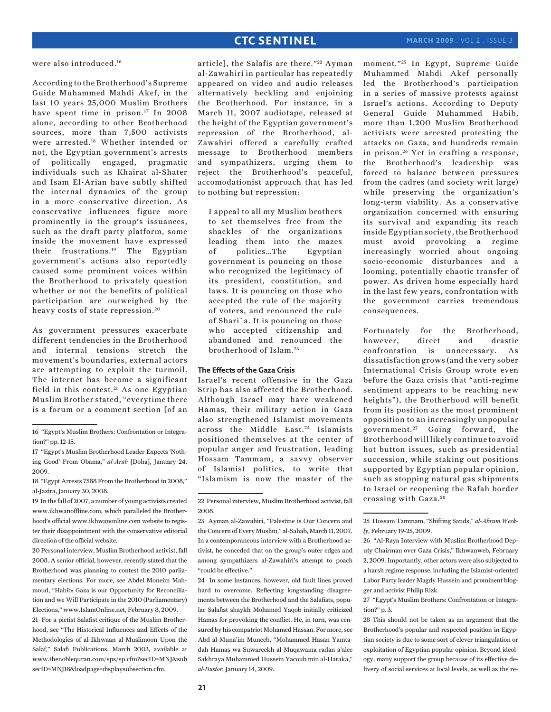were also introduced.16

According to the Brotherhood's Supreme Guide Muhammed Mahdi Akef, in the last 10 years 25,000 Muslim Brothers have spent time in prison.<sup>17</sup> In 2008 alone, according to other Brotherhood sources, more than 7,500 activists were arrested.18 Whether intended or not, the Egyptian government's arrests of politically engaged, pragmatic individuals such as Khairat al-Shater and Isam El-Arian have subtly shifted the internal dynamics of the group in a more conservative direction. As conservative influences figure more prominently in the group's issuances, such as the draft party platform, some inside the movement have expressed their frustrations.19 The Egyptian government's actions also reportedly caused some prominent voices within the Brotherhood to privately question whether or not the benefits of political participation are outweighed by the heavy costs of state repression. 20

As government pressures exacerbate different tendencies in the Brotherhood and internal tensions stretch the movement's boundaries, external actors are attempting to exploit the turmoil. The internet has become a significant field in this contest. $21$  As one Egyptian Muslim Brother stated, "everytime there is a forum or a comment section [of an

20 Personal interview, Muslim Brotherhood activist, fall 2008. A senior official, however, recently stated that the Brotherhood was planning to contest the 2010 parliamentary elections. For more, see Abdel Moneim Mahmoud, "Habib: Gaza is our Opportunity for Reconciliation and we Will Participate in the 2010 (Parliamentary) Elections," www.IslamOnline.net, February 8, 2009.

21 For a pietist Salafist critique of the Muslim Brotherhood, see "The Historical Influences and Effects of the Methodologies of al-Ikhwaan al-Muslimoon Upon the Salaf," Salafi Publications, March 2003, available at www.thenoblequran.com/sps/sp.cfm?secID=MNJ&sub secID=MNJ18&loadpage=displaysubsection.cfm.

article], the Salafis are there."<sup>22</sup> Ayman al-Zawahiri in particular has repeatedly appeared on video and audio releases alternatively heckling and enjoining the Brotherhood. For instance, in a March 11, 2007 audiotape, released at the height of the Egyptian government's repression of the Brotherhood, al-Zawahiri offered a carefully crafted message to Brotherhood members and sympathizers, urging them to reject the Brotherhood's peaceful, accomodationist approach that has led to nothing but repression:

I appeal to all my Muslim brothers to set themselves free from the shackles of the organizations leading them into the mazes of politics…The Egyptian government is pouncing on those who recognized the legitimacy of its president, constitution, and laws. It is pouncing on those who accepted the rule of the majority of voters, and renounced the rule of Shari`a. It is pouncing on those who accepted citizenship and abandoned and renounced the brotherhood of Islam. <sup>23</sup>

### **The Effects of the Gaza Crisis**

Israel's recent offensive in the Gaza Strip has also affected the Brotherhood. Although Israel may have weakened Hamas, their military action in Gaza also strengthened Islamist movements across the Middle East.<sup>24</sup> Islamists positioned themselves at the center of popular anger and frustration, leading Hossam Tammam, a savvy observer of Islamist politics, to write that "Islamism is now the master of the

moment."<sup>25</sup> In Egypt, Supreme Guide Muhammed Mahdi Akef personally led the Brotherhood's participation in a series of massive protests against Israel's actions. According to Deputy General Guide Muhammed Habib, more than 1,200 Muslim Brotherhood activists were arrested protesting the attacks on Gaza, and hundreds remain in prison.<sup>26</sup> Yet in crafting a response, the Brotherhood's leadership was forced to balance between pressures from the cadres (and society writ large) while preserving the organization's long-term viability. As a conservative organization concerned with ensuring its survival and expanding its reach inside Egyptian society, the Brotherhood must avoid provoking a regime increasingly worried about ongoing socio-economic disturbances and a looming, potentially chaotic transfer of power. As driven home especially hard in the last few years, confrontation with the government carries tremendous consequences.

Fortunately for the Brotherhood, however, direct and drastic confrontation is unnecessary. As dissatisfaction grows (and the very sober International Crisis Group wrote even before the Gaza crisis that "anti-regime sentiment appears to be reaching new heights"), the Brotherhood will benefit from its position as the most prominent opposition to an increasingly unpopular government. 27 Going forward, the Brotherhood will likely continue to avoid hot button issues, such as presidential succession, while staking out positions supported by Egyptian popular opinion, such as stopping natural gas shipments to Israel or reopening the Rafah border crossing with Gaza. 28

<sup>16 &</sup>quot;Egypt's Muslim Brothers: Confrontation or Integration?" pp. 12-15.

<sup>17 &</sup>quot;Egypt's Muslim Brotherhood Leader Expects 'Nothing Good' From Obama," *al-Arab* [Doha], January 24, 2009.

<sup>18 &</sup>quot;Egypt Arrests 7588 From the Brotherhood in 2008," al-Jazira, January 30, 2008.

<sup>19</sup> In the fall of 2007, a number of young activists created www.ikhwanoffline.com, which paralleled the Brotherhood's official www.ikhwanonline.com website to register their disappointment with the conservative editorial direction of the official website.

<sup>22</sup> Personal interview, Muslim Brotherhood activist, fall 2008.

<sup>23</sup> Ayman al-Zawahiri, "Palestine is Our Concern and the Concern of Every Muslim," al-Sahab, March 11, 2007. In a contemporaneous interview with a Brotherhood activist, he conceded that on the group's outer edges and among sympathizers al-Zawahiri's attempt to poach "could be effective."

<sup>24</sup> In some instances, however, old fault lines proved hard to overcome. Reflecting longstanding disagreements between the Brotherhood and the Salafists, popular Salafist shaykh Mohamed Yaqob initially criticized Hamas for provoking the conflict. He, in turn, was censured by his compatriot Mohamed Hassan. For more, see Abd al-Muna'im Muneeb, "Mohammed Hasan Yamtadah Hamas wa Suwareekh al-Muqawama radan a'alee Sakhraya Muhammed Hussein Yacoub min al-Haraka," *al-Dustor,* January 14, 2009.

<sup>25</sup> Hossam Tammam, "Shifting Sands," *al-Ahram Weekly*, February 19-25, 2009.

<sup>26 &</sup>quot;Al-Raya Interview with Muslim Brotherhood Deputy Chairman over Gaza Crisis," Ikhwanweb, February 2, 2009. Importantly, other actors were also subjected to a harsh regime response, including the Islamist-oriented Labor Party leader Magdy Hussein and prominent blogger and activist Philip Rizk.

<sup>27 &</sup>quot;Egypt's Muslim Brothers: Confrontation or Integration?" p. 3.

<sup>28</sup> This should not be taken as an argument that the Brotherhood's popular and respected position in Egyptian society is due to some sort of clever triangulation or exploitation of Egyptian popular opinion. Beyond ideology, many support the group because of its effective delivery of social services at local levels, as well as the re-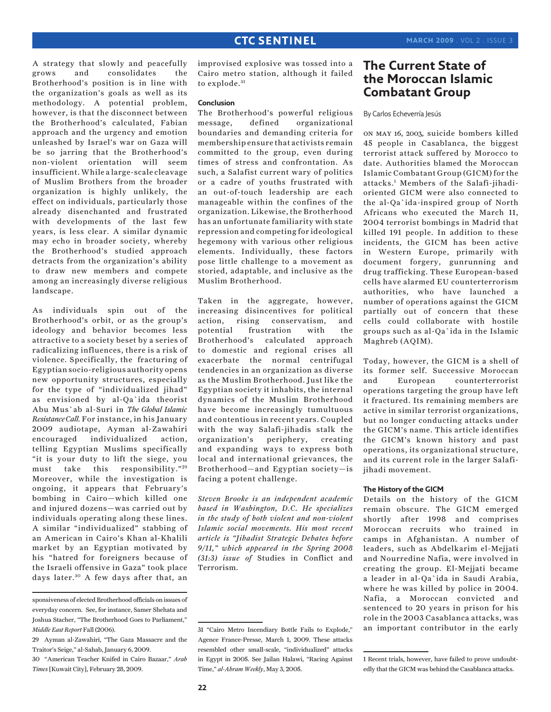A strategy that slowly and peacefully grows and consolidates the Brotherhood's position is in line with the organization's goals as well as its methodology. A potential problem, however, is that the disconnect between the Brotherhood's calculated, Fabian approach and the urgency and emotion unleashed by Israel's war on Gaza will be so jarring that the Brotherhood's non-violent orientation will seem insufficient. While a large-scale cleavage of Muslim Brothers from the broader organization is highly unlikely, the effect on individuals, particularly those already disenchanted and frustrated with developments of the last few years, is less clear. A similar dynamic may echo in broader society, whereby the Brotherhood's studied approach detracts from the organization's ability to draw new members and compete among an increasingly diverse religious landscape.

As individuals spin out of the Brotherhood's orbit, or as the group's ideology and behavior becomes less attractive to a society beset by a series of radicalizing influences, there is a risk of violence. Specifically, the fracturing of Egyptian socio-religious authority opens new opportunity structures, especially for the type of "individualized jihad" as envisioned by al-Qa`ida theorist Abu Mus`ab al-Suri in *The Global Islamic Resistance Call.* For instance, in his January 2009 audiotape, Ayman al-Zawahiri encouraged individualized action, telling Egyptian Muslims specifically "it is your duty to lift the siege, you must take this responsibility."<sup>29</sup> Moreover, while the investigation is ongoing, it appears that February's bombing in Cairo—which killed one and injured dozens—was carried out by individuals operating along these lines. A similar "individualized" stabbing of an American in Cairo's Khan al-Khalili market by an Egyptian motivated by his "hatred for foreigners because of the Israeli offensive in Gaza" took place days later. 30 A few days after that, an

improvised explosive was tossed into a Cairo metro station, although it failed to explode.<sup>31</sup>

### **Conclusion**

The Brotherhood's powerful religious message, defined organizational boundaries and demanding criteria for membership ensure that activists remain committed to the group, even during times of stress and confrontation. As such, a Salafist current wary of politics or a cadre of youths frustrated with an out-of-touch leadership are each manageable within the confines of the organization. Likewise, the Brotherhood has an unfortunate familiarity with state repression and competing for ideological hegemony with various other religious elements. Individually, these factors pose little challenge to a movement as storied, adaptable, and inclusive as the Muslim Brotherhood.

Taken in the aggregate, however, increasing disincentives for political action, rising conservatism, and potential frustration with the Brotherhood's calculated approach to domestic and regional crises all exacerbate the normal centrifugal tendencies in an organization as diverse as the Muslim Brotherhood. Just like the Egyptian society it inhabits, the internal dynamics of the Muslim Brotherhood have become increasingly tumultuous and contentious in recent years. Coupled with the way Salafi-jihadis stalk the organization's periphery, creating and expanding ways to express both local and international grievances, the Brotherhood—and Egyptian society—is facing a potent challenge.

*Steven Brooke is an independent academic based in Washington, D.C. He specializes in the study of both violent and non-violent Islamic social movements. His most recent article is "Jihadist Strategic Debates before 9/11," which appeared in the Spring 2008 (31:3) issue of* Studies in Conflict and Terrorism.

# **The Current State of the Moroccan Islamic Combatant Group**

By Carlos Echeverría Jesús

on may 16, 2003, suicide bombers killed 45 people in Casablanca, the biggest terrorist attack suffered by Morocco to date. Authorities blamed the Moroccan Islamic Combatant Group (GICM) for the attacks.1 Members of the Salafi-jihadioriented GICM were also connected to the al-Qa`ida-inspired group of North Africans who executed the March 11, 2004 terrorist bombings in Madrid that killed 191 people. In addition to these incidents, the GICM has been active in Western Europe, primarily with document forgery, gunrunning and drug trafficking. These European-based cells have alarmed EU counterterrorism authorities, who have launched a number of operations against the GICM partially out of concern that these cells could collaborate with hostile groups such as al-Qa`ida in the Islamic Maghreb (AQIM).

Today, however, the GICM is a shell of its former self. Successive Moroccan and European counterterrorist operations targeting the group have left it fractured. Its remaining members are active in similar terrorist organizations, but no longer conducting attacks under the GICM's name. This article identifies the GICM's known history and past operations, its organizational structure, and its current role in the larger Salafijihadi movement.

### **The History of the GICM**

Details on the history of the GICM remain obscure. The GICM emerged shortly after 1998 and comprises Moroccan recruits who trained in camps in Afghanistan. A number of leaders, such as Abdelkarim el-Mejjati and Nourredine Nafia, were involved in creating the group. El-Mejjati became a leader in al-Qa`ida in Saudi Arabia, where he was killed by police in 2004. Nafia, a Moroccan convicted and sentenced to 20 years in prison for his role in the 2003 Casablanca attacks, was an important contributor in the early

sponsiveness of elected Brotherhood officials on issues of everyday concern. See, for instance, Samer Shehata and Joshua Stacher, "The Brotherhood Goes to Parliament," *Middle East Report* Fall (2006).

<sup>29</sup> Ayman al-Zawahiri, "The Gaza Massacre and the Traitor's Seige," al-Sahab, January 6, 2009.

<sup>30 &</sup>quot;American Teacher Knifed in Cairo Bazaar," *Arab Times* [Kuwait City], February 28, 2009.

<sup>31 &</sup>quot;Cairo Metro Incendiary Bottle Fails to Explode," Agence France-Presse, March 1, 2009. These attacks resembled other small-scale, "individualized" attacks in Egypt in 2005. See Jailan Halawi, "Racing Against Time," *al-Ahram Weekly*, May 3, 2005.

<sup>1</sup> Recent trials, however, have failed to prove undoubtedly that the GICM was behind the Casablanca attacks.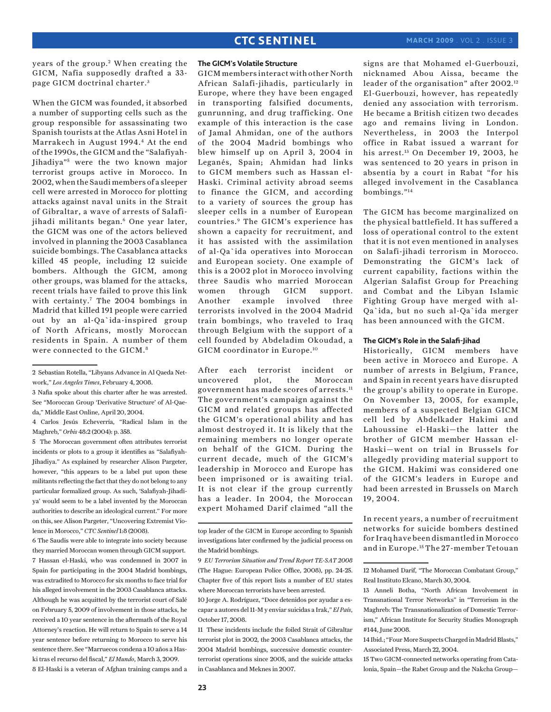years of the group.<sup>2</sup> When creating the GICM, Nafia supposedly drafted a 33 page GICM doctrinal charter.<sup>3</sup>

When the GICM was founded, it absorbed a number of supporting cells such as the group responsible for assassinating two Spanish tourists at the Atlas Asni Hotel in Marrakech in August 1994.<sup>4</sup> At the end of the 1990s, the GICM and the "Salafiyah-Jihadiya"5 were the two known major terrorist groups active in Morocco. In 2002, when the Saudi members of a sleeper cell were arrested in Morocco for plotting attacks against naval units in the Strait of Gibraltar, a wave of arrests of Salafijihadi militants began.<sup>6</sup> One year later, the GICM was one of the actors believed involved in planning the 2003 Casablanca suicide bombings. The Casablanca attacks killed 45 people, including 12 suicide bombers. Although the GICM, among other groups, was blamed for the attacks, recent trials have failed to prove this link with certainty.<sup>7</sup> The 2004 bombings in Madrid that killed 191 people were carried out by an al-Qa`ida-inspired group of North Africans, mostly Moroccan residents in Spain. A number of them were connected to the GICM.8

5 The Moroccan government often attributes terrorist incidents or plots to a group it identifies as "Salafiyah-Jihadiya." As explained by researcher Alison Pargeter, however, "this appears to be a label put upon these militants reflecting the fact that they do not belong to any particular formalized group. As such, 'Salafiyah-Jihadiya' would seem to be a label invented by the Moroccan authorities to describe an ideological current." For more on this, see Alison Pargeter, "Uncovering Extremist Violence in Morocco," *CTC Sentinel* 1:8 (2008).

6 The Saudis were able to integrate into society because they married Moroccan women through GICM support. 7 Hassan el-Haski, who was condemned in 2007 in Spain for participating in the 2004 Madrid bombings, was extradited to Morocco for six months to face trial for his alleged involvement in the 2003 Casablanca attacks. Although he was acquitted by the terrorist court of Salé on February 5, 2009 of involvement in those attacks, he received a 10 year sentence in the aftermath of the Royal Attorney's reaction. He will return to Spain to serve a 14 year sentence before returning to Morocco to serve his sentence there. See "Marruecos condena a 10 años a Haski tras el recurso del fiscal," *El Mundo*, March 3, 2009. 8 El-Haski is a veteran of Afghan training camps and a

### **The GICM's Volatile Structure**

GICM members interact with other North African Salafi-jihadis, particularly in Europe, where they have been engaged in transporting falsified documents, gunrunning, and drug trafficking. One example of this interaction is the case of Jamal Ahmidan, one of the authors of the 2004 Madrid bombings who blew himself up on April 3, 2004 in Leganés, Spain; Ahmidan had links to GICM members such as Hassan el-Haski. Criminal activity abroad seems to finance the GICM, and according to a variety of sources the group has sleeper cells in a number of European countries.9 The GICM's experience has shown a capacity for recruitment, and it has assisted with the assimilation of al-Qa`ida operatives into Moroccan and European society. One example of this is a 2002 plot in Morocco involving three Saudis who married Moroccan women through GICM support. Another example involved three terrorists involved in the 2004 Madrid train bombings, who traveled to Iraq through Belgium with the support of a cell founded by Abdeladim Okoudad, a GICM coordinator in Europe.10

After each terrorist incident or uncovered plot, the Moroccan government has made scores of arrests.11 The government's campaign against the GICM and related groups has affected the GICM's operational ability and has almost destroyed it. It is likely that the remaining members no longer operate on behalf of the GICM. During the current decade, much of the GICM's leadership in Morocco and Europe has been imprisoned or is awaiting trial. It is not clear if the group currently has a leader. In 2004, the Moroccan expert Mohamed Darif claimed "all the signs are that Mohamed el-Guerbouzi, nicknamed Abou Aissa, became the leader of the organisation" after 2002.12 El-Guerbouzi, however, has repeatedly denied any association with terrorism. He became a British citizen two decades ago and remains living in London. Nevertheless, in 2003 the Interpol office in Rabat issued a warrant for his arrest.<sup>13</sup> On December 19, 2003, he was sentenced to 20 years in prison in absentia by a court in Rabat "for his alleged involvement in the Casablanca bombings."14

The GICM has become marginalized on the physical battlefield. It has suffered a loss of operational control to the extent that it is not even mentioned in analyses on Salafi-jihadi terrorism in Morocco. Demonstrating the GICM's lack of current capability, factions within the Algerian Salafist Group for Preaching and Combat and the Libyan Islamic Fighting Group have merged with al-Qa`ida, but no such al-Qa`ida merger has been announced with the GICM.

### **The GICM's Role in the Salafi-Jihad**

Historically, GICM members have been active in Morocco and Europe. A number of arrests in Belgium, France, and Spain in recent years have disrupted the group's ability to operate in Europe. On November 13, 2005, for example, members of a suspected Belgian GICM cell led by Abdelkader Hakimi and Lahoussine el-Haski—the latter the brother of GICM member Hassan el-Haski—went on trial in Brussels for allegedly providing material support to the GICM. Hakimi was considered one of the GICM's leaders in Europe and had been arrested in Brussels on March 19, 2004.

In recent years, a number of recruitment networks for suicide bombers destined for Iraq have been dismantled in Morocco and in Europe.15 The 27-member Tetouan

<sup>2</sup> Sebastian Rotella, "Libyans Advance in Al Qaeda Network," *Los Angeles Times*, February 4, 2008.

<sup>3</sup> Nafia spoke about this charter after he was arrested. See "Moroccan Group 'Derivative Structure' of Al-Qaeda," Middle East Online, April 20, 2004.

<sup>4</sup> Carlos Jesús Echeverría, "Radical Islam in the Maghreb," *Orbis* 48:2 (2004): p. 358.

top leader of the GICM in Europe according to Spanish investigations later confirmed by the judicial process on the Madrid bombings.

<sup>9</sup> *EU Terrorism Situation and Trend Report TE-SAT 2008*  (The Hague: European Police Office, 2008), pp. 24-25. Chapter five of this report lists a number of EU states where Moroccan terrorists have been arrested.

<sup>10</sup> Jorge A. Rodríguez, "Doce detenidos por ayudar a escapar a autores del 11-M y enviar suicidas a Irak," *El País*, October 17, 2008.

<sup>11</sup> These incidents include the foiled Strait of Gibraltar terrorist plot in 2002, the 2003 Casablanca attacks, the 2004 Madrid bombings, successive domestic counterterrorist operations since 2005, and the suicide attacks in Casablanca and Meknes in 2007.

<sup>12</sup> Mohamed Darif, "The Moroccan Combatant Group," Real Instituto Elcano, March 30, 2004.

<sup>13</sup> Anneli Botha, "North African Involvement in Transnational Terror Networks" in "Terrorism in the Maghreb: The Transnationalization of Domestic Terrorism," African Institute for Security Studies Monograph #144, June 2008.

<sup>14</sup> Ibid.; "Four More Suspects Charged in Madrid Blasts," Associated Press, March 22, 2004.

<sup>15</sup> Two GICM-connected networks operating from Catalonia, Spain—the Rabet Group and the Nakcha Group—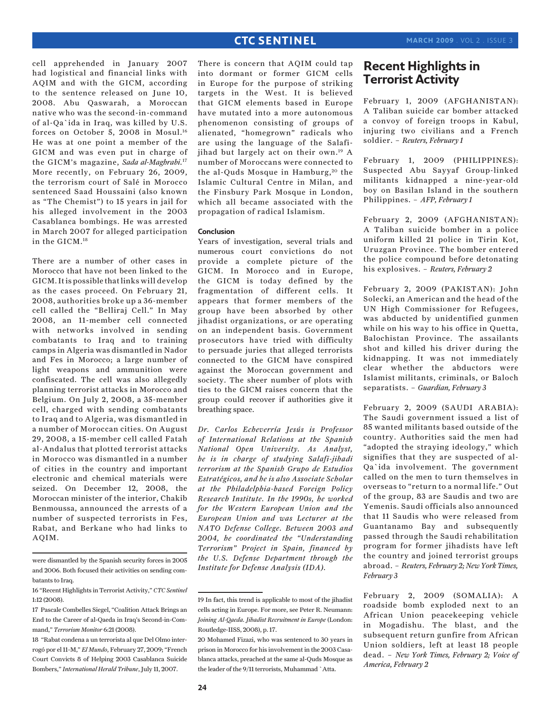cell apprehended in January 2007 had logistical and financial links with AQIM and with the GICM, according to the sentence released on June 10, 2008. Abu Qaswarah, a Moroccan native who was the second-in-command of al-Qa`ida in Iraq, was killed by U.S. forces on October 5, 2008 in Mosul.16 He was at one point a member of the GICM and was even put in charge of the GICM's magazine, *Sada al-Maghrabi*.17 More recently, on February 26, 2009, the terrorism court of Salé in Morocco sentenced Saad Houssaini (also known as "The Chemist") to 15 years in jail for his alleged involvement in the 2003 Casablanca bombings. He was arrested in March 2007 for alleged participation in the GICM.18

There are a number of other cases in Morocco that have not been linked to the GICM. It is possible that links will develop as the cases proceed. On February 21, 2008, authorities broke up a 36-member cell called the "Belliraj Cell." In May 2008, an 11-member cell connected with networks involved in sending combatants to Iraq and to training camps in Algeria was dismantled in Nador and Fes in Morocco; a large number of light weapons and ammunition were confiscated. The cell was also allegedly planning terrorist attacks in Morocco and Belgium. On July 2, 2008, a 35-member cell, charged with sending combatants to Iraq and to Algeria, was dismantled in a number of Moroccan cities. On August 29, 2008, a 15-member cell called Fatah al-Andalus that plotted terrorist attacks in Morocco was dismantled in a number of cities in the country and important electronic and chemical materials were seized. On December 12, 2008, the Moroccan minister of the interior, Chakib Benmoussa, announced the arrests of a number of suspected terrorists in Fes, Rabat, and Berkane who had links to AQIM.

There is concern that AQIM could tap into dormant or former GICM cells in Europe for the purpose of striking targets in the West. It is believed that GICM elements based in Europe have mutated into a more autonomous phenomenon consisting of groups of alienated, "homegrown" radicals who are using the language of the Salafijihad but largely act on their own.19 A number of Moroccans were connected to the al-Quds Mosque in Hamburg,<sup>20</sup> the Islamic Cultural Centre in Milan, and the Finsbury Park Mosque in London, which all became associated with the propagation of radical Islamism.

### **Conclusion**

Years of investigation, several trials and numerous court convictions do not provide a complete picture of the GICM. In Morocco and in Europe, the GICM is today defined by the fragmentation of different cells. It appears that former members of the group have been absorbed by other jihadist organizations, or are operating on an independent basis. Government prosecutors have tried with difficulty to persuade juries that alleged terrorists connected to the GICM have conspired against the Moroccan government and society. The sheer number of plots with ties to the GICM raises concern that the group could recover if authorities give it breathing space.

*Dr. Carlos Echeverría Jesús is Professor of International Relations at the Spanish National Open University. As Analyst, he is in charge of studying Salafi-jihadi terrorism at the Spanish Grupo de Estudios Estratégicos, and he is also Associate Scholar at the Philadelphia-based Foreign Policy Research Institute. In the 1990s, he worked for the Western European Union and the European Union and was Lecturer at the NATO Defense College. Between 2003 and 2004, he coordinated the "Understanding Terrorism" Project in Spain, financed by the U.S. Defense Department through the Institute for Defense Analysis (IDA).*

# **Recent Highlights in Terrorist Activity**

February 1, 2009 (AFGHANISTAN): A Taliban suicide car bomber attacked a convoy of foreign troops in Kabul, injuring two civilians and a French soldier. – *Reuters, February 1*

February 1, 2009 (PHILIPPINES): Suspected Abu Sayyaf Group-linked militants kidnapped a nine-year-old boy on Basilan Island in the southern Philippines. – *AFP, February 1*

February 2, 2009 (AFGHANISTAN): A Taliban suicide bomber in a police uniform killed 21 police in Tirin Kot, Uruzgan Province. The bomber entered the police compound before detonating his explosives. – *Reuters, February 2*

February 2, 2009 (PAKISTAN): John Solecki, an American and the head of the UN High Commissioner for Refugees, was abducted by unidentified gunmen while on his way to his office in Quetta, Balochistan Province. The assailants shot and killed his driver during the kidnapping. It was not immediately clear whether the abductors were Islamist militants, criminals, or Baloch separatists. – *Guardian, February 3*

February 2, 2009 (SAUDI ARABIA): The Saudi government issued a list of 85 wanted militants based outside of the country. Authorities said the men had "adopted the straying ideology," which signifies that they are suspected of al-Qa`ida involvement. The government called on the men to turn themselves in overseas to "return to a normal life." Out of the group, 83 are Saudis and two are Yemenis. Saudi officials also announced that 11 Saudis who were released from Guantanamo Bay and subsequently passed through the Saudi rehabilitation program for former jihadists have left the country and joined terrorist groups abroad. – *Reuters, February 2; New York Times, February 3*

February 2, 2009 (SOMALIA): A roadside bomb exploded next to an African Union peacekeeping vehicle in Mogadishu. The blast, and the subsequent return gunfire from African Union soldiers, left at least 18 people dead. – *New York Times, February 2; Voice of America, February 2*

were dismantled by the Spanish security forces in 2005 and 2006. Both focused their activities on sending combatants to Iraq.

<sup>16 &</sup>quot;Recent Highlights in Terrorist Activity," *CTC Sentinel* 1:12 (2008).

<sup>17</sup> Pascale Combelles Siegel, "Coalition Attack Brings an End to the Career of al-Qaeda in Iraq's Second-in-Command," *Terrorism Monitor* 6:21 (2008).

<sup>18 &</sup>quot;Rabat condena a un terrorista al que Del Olmo interrogó por el 11-M," *El Mundo*, February 27, 2009; "French Court Convicts 8 of Helping 2003 Casablanca Suicide Bombers," *International Herald Tribune*, July 11, 2007.

<sup>19</sup> In fact, this trend is applicable to most of the jihadist cells acting in Europe. For more, see Peter R. Neumann: *Joining Al-Qaeda. Jihadist Recruitment in Europe* (London: Routledge-IISS, 2008), p. 17.

<sup>20</sup> Mohamed Fizazi, who was sentenced to 30 years in prison in Morocco for his involvement in the 2003 Casablanca attacks, preached at the same al-Quds Mosque as the leader of the 9/11 terrorists, Muhammad `Atta.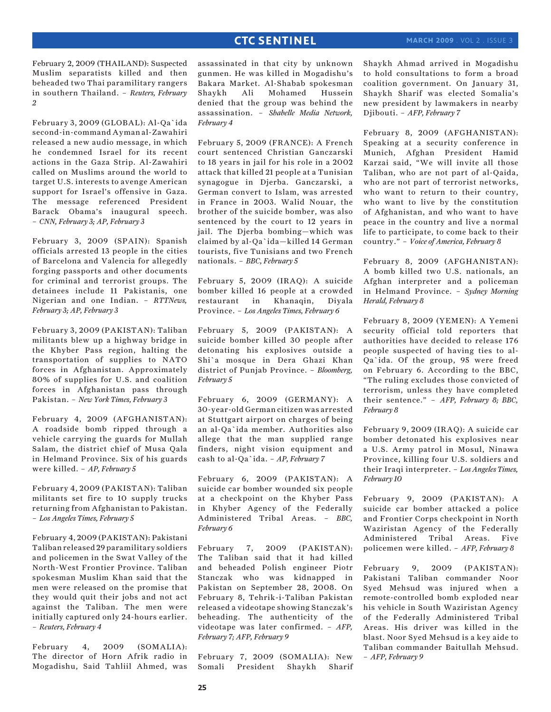February 2, 2009 (THAILAND): Suspected Muslim separatists killed and then beheaded two Thai paramilitary rangers in southern Thailand. – *Reuters, February 2*

February 3, 2009 (GLOBAL): Al-Qa`ida second-in-command Ayman al-Zawahiri released a new audio message, in which he condemned Israel for its recent actions in the Gaza Strip. Al-Zawahiri called on Muslims around the world to target U.S. interests to avenge American support for Israel's offensive in Gaza. The message referenced President Barack Obama's inaugural speech. – *CNN, February 3; AP, February 3*

February 3, 2009 (SPAIN): Spanish officials arrested 13 people in the cities of Barcelona and Valencia for allegedly forging passports and other documents for criminal and terrorist groups. The detainees include 11 Pakistanis, one Nigerian and one Indian. – *RTTNews, February 3; AP, February 3*

February 3, 2009 (PAKISTAN): Taliban militants blew up a highway bridge in the Khyber Pass region, halting the transportation of supplies to NATO forces in Afghanistan. Approximately 80% of supplies for U.S. and coalition forces in Afghanistan pass through Pakistan. – *New York Times, February 3*

February 4, 2009 (AFGHANISTAN): A roadside bomb ripped through a vehicle carrying the guards for Mullah Salam, the district chief of Musa Qala in Helmand Province. Six of his guards were killed. – *AP, February 5*

February 4, 2009 (PAKISTAN): Taliban militants set fire to 10 supply trucks returning from Afghanistan to Pakistan. – *Los Angeles Times, February 5*

February 4, 2009 (PAKISTAN): Pakistani Taliban released 29 paramilitary soldiers and policemen in the Swat Valley of the North-West Frontier Province. Taliban spokesman Muslim Khan said that the men were released on the promise that they would quit their jobs and not act against the Taliban. The men were initially captured only 24-hours earlier. – *Reuters, February 4*

February 4, 2009 (SOMALIA): The director of Horn Afrik radio in Mogadishu, Said Tahliil Ahmed, was

assassinated in that city by unknown gunmen. He was killed in Mogadishu's Bakara Market. Al-Shabab spokesman Shaykh Ali Mohamed Hussein denied that the group was behind the assassination. – *Shabelle Media Network, February 4*

February 5, 2009 (FRANCE): A French court sentenced Christian Ganczarski to 18 years in jail for his role in a 2002 attack that killed 21 people at a Tunisian synagogue in Djerba. Ganczarski, a German convert to Islam, was arrested in France in 2003. Walid Nouar, the brother of the suicide bomber, was also sentenced by the court to 12 years in jail. The Djerba bombing—which was claimed by al-Qa`ida—killed 14 German tourists, five Tunisians and two French nationals. – *BBC, February 5*

February 5, 2009 (IRAQ): A suicide bomber killed 16 people at a crowded restaurant in Khanaqin, Diyala Province. – *Los Angeles Times, February 6*

February 5, 2009 (PAKISTAN): A suicide bomber killed 30 people after detonating his explosives outside a Shi`a mosque in Dera Ghazi Khan district of Punjab Province. – *Bloomberg, February 5*

February 6, 2009 (GERMANY): A 30-year-old German citizen was arrested at Stuttgart airport on charges of being an al-Qa`ida member. Authorities also allege that the man supplied range finders, night vision equipment and cash to al-Qa`ida. – *AP, February 7*

February 6, 2009 (PAKISTAN): A suicide car bomber wounded six people at a checkpoint on the Khyber Pass in Khyber Agency of the Federally Administered Tribal Areas. – *BBC, February 6*

February 7, 2009 (PAKISTAN): The Taliban said that it had killed and beheaded Polish engineer Piotr Stanczak who was kidnapped in Pakistan on September 28, 2008. On February 8, Tehrik-i-Taliban Pakistan released a videotape showing Stanczak's beheading. The authenticity of the videotape was later confirmed. – *AFP, February 7; AFP, February 9*

February 7, 2009 (SOMALIA): New Somali President Shaykh Sharif Shaykh Ahmad arrived in Mogadishu to hold consultations to form a broad coalition government. On January 31, Shaykh Sharif was elected Somalia's new president by lawmakers in nearby Djibouti. – *AFP, February 7*

February 8, 2009 (AFGHANISTAN): Speaking at a security conference in Munich, Afghan President Hamid Karzai said, "We will invite all those Taliban, who are not part of al-Qaida, who are not part of terrorist networks, who want to return to their country, who want to live by the constitution of Afghanistan, and who want to have peace in the country and live a normal life to participate, to come back to their country." – *Voice of America, February 8*

February 8, 2009 (AFGHANISTAN): A bomb killed two U.S. nationals, an Afghan interpreter and a policeman in Helmand Province. – *Sydney Morning Herald, February 8*

February 8, 2009 (YEMEN): A Yemeni security official told reporters that authorities have decided to release 176 people suspected of having ties to al-Qa`ida. Of the group, 95 were freed on February 6. According to the BBC, "The ruling excludes those convicted of terrorism, unless they have completed their sentence." – *AFP, February 8; BBC, February 8*

February 9, 2009 (IRAQ): A suicide car bomber detonated his explosives near a U.S. Army patrol in Mosul, Ninawa Province, killing four U.S. soldiers and their Iraqi interpreter. – *Los Angeles Times, February 10*

February 9, 2009 (PAKISTAN): A suicide car bomber attacked a police and Frontier Corps checkpoint in North Waziristan Agency of the Federally Administered Tribal Areas. Five policemen were killed. – *AFP, February 8*

February 9, 2009 (PAKISTAN): Pakistani Taliban commander Noor Syed Mehsud was injured when a remote-controlled bomb exploded near his vehicle in South Waziristan Agency of the Federally Administered Tribal Areas. His driver was killed in the blast. Noor Syed Mehsud is a key aide to Taliban commander Baitullah Mehsud. – *AFP, February 9*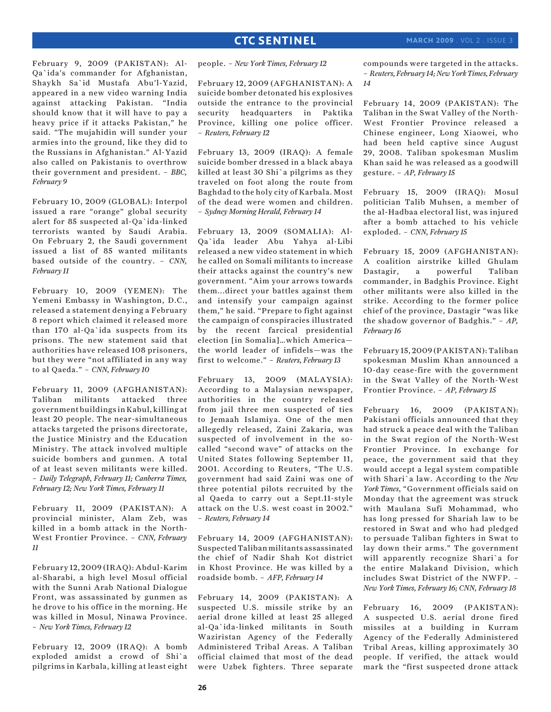February 9, 2009 (PAKISTAN): Al-Qa`ida's commander for Afghanistan, Shaykh Sa`id Mustafa Abu'l-Yazid, appeared in a new video warning India against attacking Pakistan. "India should know that it will have to pay a heavy price if it attacks Pakistan," he said. "The mujahidin will sunder your armies into the ground, like they did to the Russians in Afghanistan." Al-Yazid also called on Pakistanis to overthrow their government and president. – *BBC, February 9*

February 10, 2009 (GLOBAL): Interpol issued a rare "orange" global security alert for 85 suspected al-Qa`ida-linked terrorists wanted by Saudi Arabia. On February 2, the Saudi government issued a list of 85 wanted militants based outside of the country. – *CNN, February 11*

February 10, 2009 (YEMEN): The Yemeni Embassy in Washington, D.C., released a statement denying a February 8 report which claimed it released more than 170 al-Qa`ida suspects from its prisons. The new statement said that authorities have released 108 prisoners, but they were "not affiliated in any way to al Qaeda." – *CNN, February 10*

February 11, 2009 (AFGHANISTAN): Taliban militants attacked three government buildings in Kabul, killing at least 20 people. The near-simultaneous attacks targeted the prisons directorate, the Justice Ministry and the Education Ministry. The attack involved multiple suicide bombers and gunmen. A total of at least seven militants were killed. – *Daily Telegraph, February 11; Canberra Times, February 12; New York Times, February 11*

February 11, 2009 (PAKISTAN): A provincial minister, Alam Zeb, was killed in a bomb attack in the North-West Frontier Province. – *CNN, February 11*

February 12, 2009 (IRAQ): Abdul-Karim al-Sharabi, a high level Mosul official with the Sunni Arab National Dialogue Front, was assassinated by gunmen as he drove to his office in the morning. He was killed in Mosul, Ninawa Province. – *New York Times, February 12*

February 12, 2009 (IRAQ): A bomb exploded amidst a crowd of Shi`a pilgrims in Karbala, killing at least eight people. – *New York Times, February 12*

February 12, 2009 (AFGHANISTAN): A suicide bomber detonated his explosives outside the entrance to the provincial security headquarters in Paktika Province, killing one police officer. – *Reuters, February 12*

February 13, 2009 (IRAQ): A female suicide bomber dressed in a black abaya killed at least 30 Shi`a pilgrims as they traveled on foot along the route from Baghdad to the holy city of Karbala. Most of the dead were women and children. – *Sydney Morning Herald, February 14*

February 13, 2009 (SOMALIA): Al-Qa`ida leader Abu Yahya al-Libi released a new video statement in which he called on Somali militants to increase their attacks against the country's new government. "Aim your arrows towards them...direct your battles against them and intensify your campaign against them," he said. "Prepare to fight against the campaign of conspiracies illustrated by the recent farcical presidential election [in Somalia]…which America the world leader of infidels—was the first to welcome." – *Reuters, February 13*

February 13, 2009 (MALAYSIA): According to a Malaysian newspaper, authorities in the country released from jail three men suspected of ties to Jemaah Islamiya. One of the men allegedly released, Zaini Zakaria, was suspected of involvement in the socalled "second wave" of attacks on the United States following September 11, 2001. According to Reuters, "The U.S. government had said Zaini was one of three potential pilots recruited by the al Qaeda to carry out a Sept.11-style attack on the U.S. west coast in 2002." – *Reuters, February 14*

February 14, 2009 (AFGHANISTAN): Suspected Taliban militants assassinated the chief of Nadir Shah Kot district in Khost Province. He was killed by a roadside bomb. – *AFP, February 14*

February 14, 2009 (PAKISTAN): A suspected U.S. missile strike by an aerial drone killed at least 25 alleged al-Qa`ida-linked militants in South Waziristan Agency of the Federally Administered Tribal Areas. A Taliban official claimed that most of the dead were Uzbek fighters. Three separate

compounds were targeted in the attacks. – *Reuters, February 14; New York Times, February 14*

February 14, 2009 (PAKISTAN): The Taliban in the Swat Valley of the North-West Frontier Province released a Chinese engineer, Long Xiaowei, who had been held captive since August 29, 2008. Taliban spokesman Muslim Khan said he was released as a goodwill gesture. – *AP, February 15*

February 15, 2009 (IRAQ): Mosul politician Talib Muhsen, a member of the al-Hadbaa electoral list, was injured after a bomb attached to his vehicle exploded. – *CNN, February 15*

February 15, 2009 (AFGHANISTAN): A coalition airstrike killed Ghulam Dastagir, a powerful Taliban commander, in Badghis Province. Eight other militants were also killed in the strike. According to the former police chief of the province, Dastagir "was like the shadow governor of Badghis." – *AP, February 16*

February 15, 2009 (PAKISTAN): Taliban spokesman Muslim Khan announced a 10-day cease-fire with the government in the Swat Valley of the North-West Frontier Province. – *AP, February 15*

February 16, 2009 (PAKISTAN): Pakistani officials announced that they had struck a peace deal with the Taliban in the Swat region of the North-West Frontier Province. In exchange for peace, the government said that they would accept a legal system compatible with Shari`a law. According to the *New York Times*, "Government officials said on Monday that the agreement was struck with Maulana Sufi Mohammad, who has long pressed for Shariah law to be restored in Swat and who had pledged to persuade Taliban fighters in Swat to lay down their arms." The government will apparently recognize Shari`a for the entire Malakand Division, which includes Swat District of the NWFP. – *New York Times, February 16; CNN, February 18*

February 16, 2009 (PAKISTAN): A suspected U.S. aerial drone fired missiles at a building in Kurram Agency of the Federally Administered Tribal Areas, killing approximately 30 people. If verified, the attack would mark the "first suspected drone attack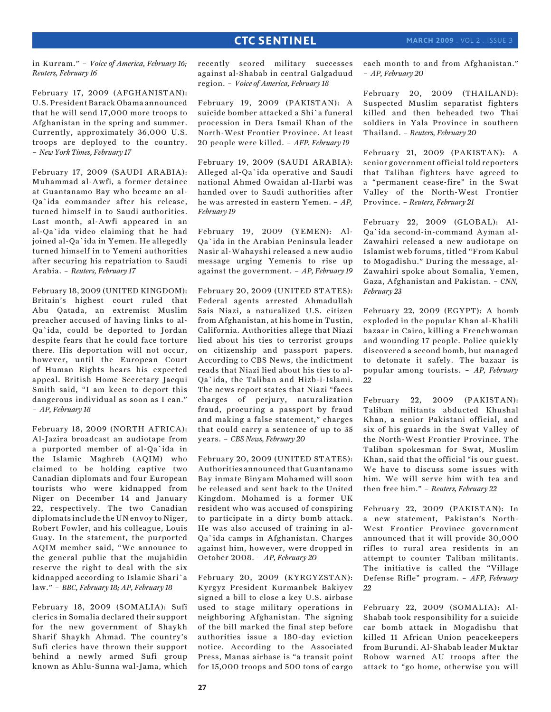in Kurram." – *Voice of America, February 16; Reuters, February 16*

February 17, 2009 (AFGHANISTAN): U.S. President Barack Obama announced that he will send 17,000 more troops to Afghanistan in the spring and summer. Currently, approximately 36,000 U.S. troops are deployed to the country. – *New York Times, February 17*

February 17, 2009 (SAUDI ARABIA): Muhammad al-Awfi, a former detainee at Guantanamo Bay who became an al-Qa`ida commander after his release, turned himself in to Saudi authorities. Last month, al-Awfi appeared in an al-Qa`ida video claiming that he had joined al-Qa`ida in Yemen. He allegedly turned himself in to Yemeni authorities after securing his repatriation to Saudi Arabia. – *Reuters, February 17*

February 18, 2009 (UNITED KINGDOM): Britain's highest court ruled that Abu Qatada, an extremist Muslim preacher accused of having links to al-Qa`ida, could be deported to Jordan despite fears that he could face torture there. His deportation will not occur, however, until the European Court of Human Rights hears his expected appeal. British Home Secretary Jacqui Smith said, "I am keen to deport this dangerous individual as soon as I can." – *AP, February 18*

February 18, 2009 (NORTH AFRICA): Al-Jazira broadcast an audiotape from a purported member of al-Qa`ida in the Islamic Maghreb (AQIM) who claimed to be holding captive two Canadian diplomats and four European tourists who were kidnapped from Niger on December 14 and January 22, respectively. The two Canadian diplomats include the UN envoy to Niger, Robert Fowler, and his colleague, Louis Guay. In the statement, the purported AQIM member said, "We announce to the general public that the mujahidin reserve the right to deal with the six kidnapped according to Islamic Shari`a law." – *BBC, February 18; AP, February 18*

February 18, 2009 (SOMALIA): Sufi clerics in Somalia declared their support for the new government of Shaykh Sharif Shaykh Ahmad. The country's Sufi clerics have thrown their support behind a newly armed Sufi group known as Ahlu-Sunna wal-Jama, which

recently scored military successes against al-Shabab in central Galgaduud region. – *Voice of America, February 18*

February 19, 2009 (PAKISTAN): A suicide bomber attacked a Shi`a funeral procession in Dera Ismail Khan of the North-West Frontier Province. At least 20 people were killed. – *AFP, February 19*

February 19, 2009 (SAUDI ARABIA): Alleged al-Qa`ida operative and Saudi national Ahmed Owaidan al-Harbi was handed over to Saudi authorities after he was arrested in eastern Yemen. – *AP, February 19*

February 19, 2009 (YEMEN): Al-Qa`ida in the Arabian Peninsula leader Nasir al-Wahayshi released a new audio message urging Yemenis to rise up against the government. – *AP, February 19*

February 20, 2009 (UNITED STATES): Federal agents arrested Ahmadullah Sais Niazi, a naturalized U.S. citizen from Afghanistan, at his home in Tustin, California. Authorities allege that Niazi lied about his ties to terrorist groups on citizenship and passport papers. According to CBS News, the indictment reads that Niazi lied about his ties to al-Qa`ida, the Taliban and Hizb-i-Islami. The news report states that Niazi "faces charges of perjury, naturalization fraud, procuring a passport by fraud and making a false statement," charges that could carry a sentence of up to 35 years. – *CBS News, February 20*

February 20, 2009 (UNITED STATES): Authorities announced that Guantanamo Bay inmate Binyam Mohamed will soon be released and sent back to the United Kingdom. Mohamed is a former UK resident who was accused of conspiring to participate in a dirty bomb attack. He was also accused of training in al-Qa`ida camps in Afghanistan. Charges against him, however, were dropped in October 2008. – *AP, February 20*

February 20, 2009 (KYRGYZSTAN): Kyrgyz President Kurmanbek Bakiyev signed a bill to close a key U.S. airbase used to stage military operations in neighboring Afghanistan. The signing of the bill marked the final step before authorities issue a 180-day eviction notice. According to the Associated Press, Manas airbase is "a transit point for 15,000 troops and 500 tons of cargo

each month to and from Afghanistan." – *AP, February 20*

February 20, 2009 (THAILAND): Suspected Muslim separatist fighters killed and then beheaded two Thai soldiers in Yala Province in southern Thailand. – *Reuters, February 20*

February 21, 2009 (PAKISTAN): A senior government official told reporters that Taliban fighters have agreed to a "permanent cease-fire" in the Swat Valley of the North-West Frontier Province. – *Reuters, February 21*

February 22, 2009 (GLOBAL): Al-Qa`ida second-in-command Ayman al-Zawahiri released a new audiotape on Islamist web forums, titled "From Kabul to Mogadishu." During the message, al-Zawahiri spoke about Somalia, Yemen, Gaza, Afghanistan and Pakistan. – *CNN, February 23*

February 22, 2009 (EGYPT): A bomb exploded in the popular Khan al-Khalili bazaar in Cairo, killing a Frenchwoman and wounding 17 people. Police quickly discovered a second bomb, but managed to detonate it safely. The bazaar is popular among tourists. – *AP, February 22*

February 22, 2009 (PAKISTAN): Taliban militants abducted Khushal Khan, a senior Pakistani official, and six of his guards in the Swat Valley of the North-West Frontier Province. The Taliban spokesman for Swat, Muslim Khan, said that the official "is our guest. We have to discuss some issues with him. We will serve him with tea and then free him." – *Reuters, February 22*

February 22, 2009 (PAKISTAN): In a new statement, Pakistan's North-West Frontier Province government announced that it will provide 30,000 rifles to rural area residents in an attempt to counter Taliban militants. The initiative is called the "Village Defense Rifle" program. – *AFP, February 22*

February 22, 2009 (SOMALIA): Al-Shabab took responsibility for a suicide car bomb attack in Mogadishu that killed 11 African Union peacekeepers from Burundi. Al-Shabab leader Muktar Robow warned AU troops after the attack to "go home, otherwise you will